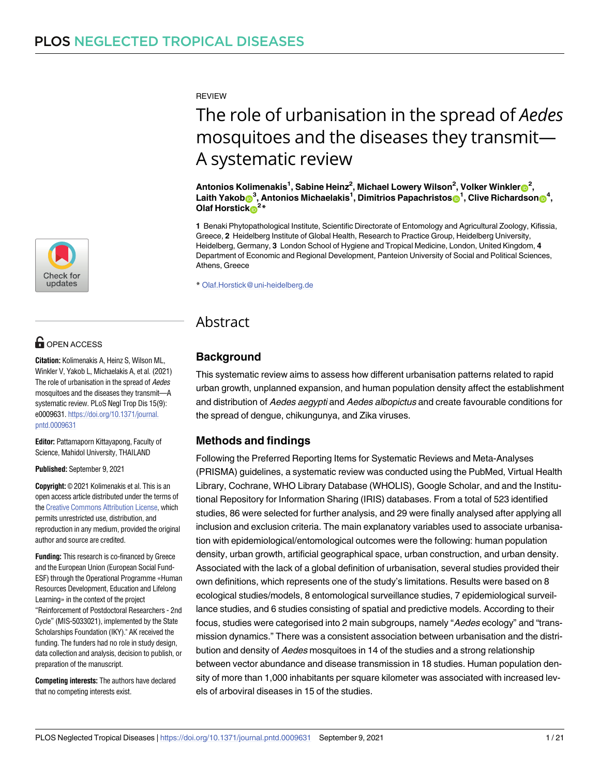[a1111111111](http://crossmark.crossref.org/dialog/?doi=10.1371/journal.pntd.0009631&domain=pdf&date_stamp=2021-09-09)  $\blacksquare$ [a1111111111](http://crossmark.crossref.org/dialog/?doi=10.1371/journal.pntd.0009631&domain=pdf&date_stamp=2021-09-09) **Check for** updates

# **G** OPEN ACCESS

**Citation:** Kolimenakis A, Heinz S, Wilson ML, Winkler V, Yakob L, Michaelakis A, et al. (2021) The role of urbanisation in the spread of Aedes mosquitoes and the diseases they transmit—A systematic review. PLoS Negl Trop Dis 15(9): e0009631. [https://doi.org/10.1371/journal.](https://doi.org/10.1371/journal.pntd.0009631) [pntd.0009631](https://doi.org/10.1371/journal.pntd.0009631)

**Editor:** Pattamaporn Kittayapong, Faculty of Science, Mahidol University, THAILAND

#### **Published:** September 9, 2021

**Copyright:** © 2021 Kolimenakis et al. This is an open access article distributed under the terms of the Creative [Commons](http://creativecommons.org/licenses/by/4.0/) Attribution License, which permits unrestricted use, distribution, and reproduction in any medium, provided the original author and source are credited.

**Funding:** This research is co-financed by Greece and the European Union (European Social Fund-ESF) through the Operational Programme «Human Resources Development, Education and Lifelong Learning» in the context of the project "Reinforcement of Postdoctoral Researchers - 2nd Cycle" (MIS-5033021), implemented by the State Scholarships Foundation (IKY)." AK received the funding. The funders had no role in study design, data collection and analysis, decision to publish, or preparation of the manuscript.

**Competing interests:** The authors have declared that no competing interests exist.

REVIEW

# The role of urbanisation in the spread of *Aedes* mosquitoes and the diseases they transmit— A systematic review

 $^2$ , Antonios Kolimenakis<sup>1</sup>, Sabine Heinz<sup>2</sup>, Michael Lowery Wilson<sup>2</sup>, Volker Winkler $\bullet^2$ ,  $\mathbf{L}$ aith <code>Yakob $\mathbf{0}^3$ , Antonios Michaelakis $^1$ , Dimitrios Papachristos $\mathbf{0}^1$ , Clive Richardson $\mathbf{0}^4$ ,</code> **Olaf Horstick**<sup>2\*</sup>

**1** Benaki Phytopathological Institute, Scientific Directorate of Entomology and Agricultural Zoology, Kifissia, Greece, **2** Heidelberg Institute of Global Health, Research to Practice Group, Heidelberg University, Heidelberg, Germany, 3 London School of Hygiene and Tropical Medicine, London, United Kingdom, 4 Department of Economic and Regional Development, Panteion University of Social and Political Sciences, Athens, Greece

\* Olaf.Horstick@uni-heidelberg.de

# Abstract

# **Background**

*AU*This: systematic *Pleaseconfirmth* review*atallhe* aims*adi*to*ngl*assess *evelsarere* how*pres* different *entedcor*urbanisation *rectly:* patterns related to rapid urban growth, unplanned expansion, and human population density affect the establishment and distribution of Aedes aegypti and Aedes albopictus and create favourable conditions for the spread of dengue, chikungunya, and Zika viruses.

# **Methods and findings**

Following the Preferred Reporting Items for Systematic Reviews and Meta-Analyses (PRISMA) guidelines, a systematic review was conducted using the PubMed, Virtual Health Library, Cochrane, WHO Library Database (WHOLIS), Google Scholar, and and the Institutional Repository for Information Sharing (IRIS) databases. From a total of 523 identified studies, 86 were selected for further analysis, and 29 were finally analysed after applying all inclusion and exclusion criteria. The main explanatory variables used to associate urbanisation with epidemiological/entomological outcomes were the following: human population density, urban growth, artificial geographical space, urban construction, and urban density. Associated with the lack of a global definition of urbanisation, several studies provided their own definitions, which represents one of the study's limitations. Results were based on 8 ecological studies/models, 8 entomological surveillance studies, 7 epidemiological surveillance studies, and 6 studies consisting of spatial and predictive models. According to their focus, studies were categorised into 2 main subgroups, namely "Aedes ecology" and "transmission dynamics." There was a consistent association between urbanisation and the distribution and density of Aedes mosquitoes in 14 of the studies and a strong relationship between vector abundance and disease transmission in 18 studies. Human population density of more than 1,000 inhabitants per square kilometer was associated with increased levels of arboviral diseases in 15 of the studies.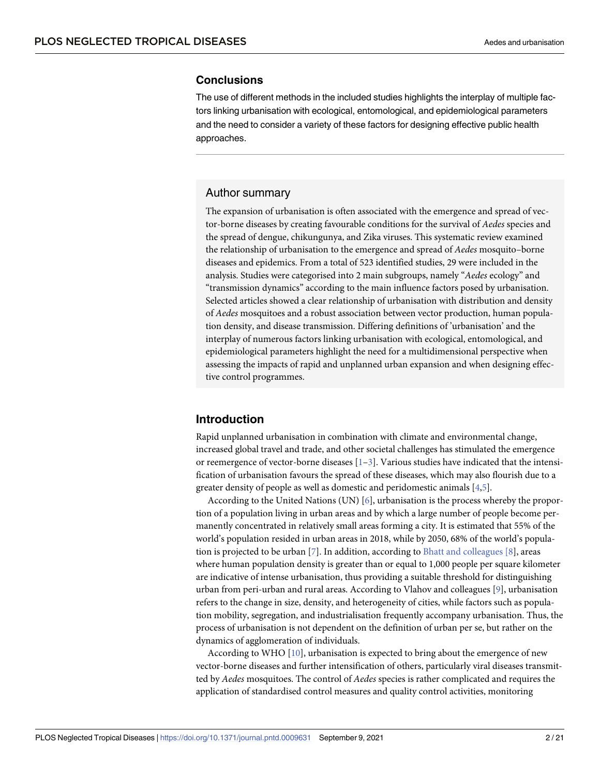#### <span id="page-1-0"></span>**Conclusions**

The use of different methods in the included studies highlights the interplay of multiple factors linking urbanisation with ecological, entomological, and epidemiological parameters and the need to consider a variety of these factors for designing effective public health approaches.

### Author summary

The expansion of urbanisation is often associated with the emergence and spread of vector-borne diseases by creating favourable conditions for the survival of *Aedes* species and the spread of dengue, chikungunya, and Zika viruses. This systematic review examined the relationship of urbanisation to the emergence and spread of *Aedes* mosquito–borne diseases and epidemics. From a total of 523 identified studies, 29 were included in the analysis. Studies were categorised into 2 main subgroups, namely "*Aedes* ecology" and "transmission dynamics" according to the main influence factors posed by urbanisation. Selected articles showed a clear relationship of urbanisation with distribution and density of *Aedes* mosquitoes and a robust association between vector production, human population density, and disease transmission. Differing definitions of 'urbanisation' and the interplay of numerous factors linking urbanisation with ecological, entomological, and epidemiological parameters highlight the need for a multidimensional perspective when assessing the impacts of rapid and unplanned urban expansion and when designing effective control programmes.

# **Introduction**

Rapid unplanned urbanisation in combination with climate and environmental change, increased global travel and trade, and other societal challenges has stimulated the emergence or reemergence of vector-borne diseases  $[1-3]$  $[1-3]$  $[1-3]$  $[1-3]$  $[1-3]$ . Various studies have indicated that the intensification of urbanisation favours the spread of these diseases, which may also flourish due to a greater density of people as well as domestic and peridomestic animals [\[4,5\]](#page-17-0).

According to the United Nations (UN) [\[6](#page-17-0)], urbanisation is the process whereby the proportion of a population living in urban areas and by which a large number of people become permanently concentrated in relatively small areas forming a city. It is estimated that 55% of the world's population resided in urban areas in 2018, while by 2050, 68% of the world's population is projected to be urban [[7\]](#page-17-0). In addition, according to Bhatt and [colleagues](https://www.ncbi.nlm.nih.gov/pmc/articles/PMC3651993/bin/NIHMS453763-supplement-1.pdf) [8], areas where human population density is greater than or equal to 1,000 people per square kilometer are indicative of intense urbanisation, thus providing a suitable threshold for distinguishing urban from peri-urban and rural areas. According to Vlahov and colleagues [\[9\]](#page-17-0), urbanisation refers to the change in size, density, and heterogeneity of cities, while factors such as population mobility, segregation, and industrialisation frequently accompany urbanisation. Thus, the process of urbanisation is not dependent on the definition of urban per se, but rather on the dynamics of agglomeration of individuals.

According to WHO [\[10\]](#page-17-0), urbanisation is expected to bring about the emergence of new vector-borne diseases and further intensification of others, particularly viral diseases transmitted by *Aedes* mosquitoes. The control of *Aedes* species is rather complicated and requires the application of standardised control measures and quality control activities, monitoring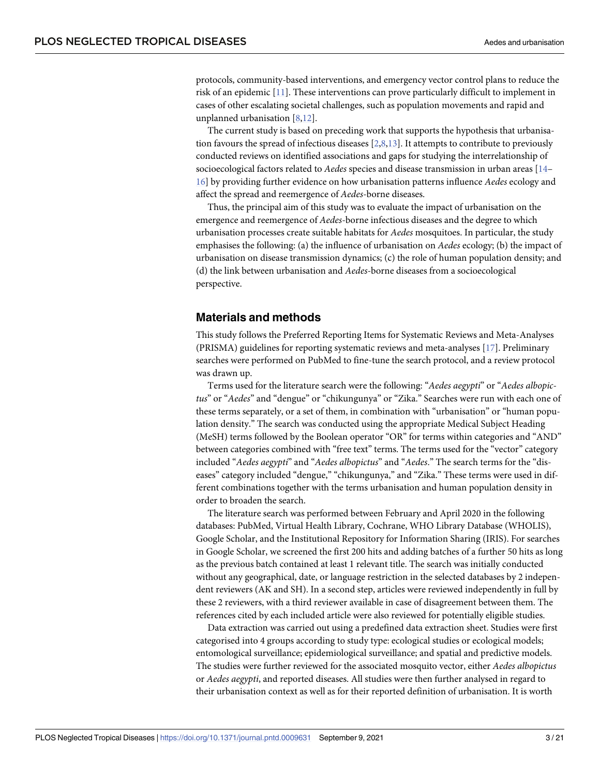<span id="page-2-0"></span>protocols, community-based interventions, and emergency vector control plans to reduce the risk of an epidemic [[11](#page-17-0)]. These interventions can prove particularly difficult to implement in cases of other escalating societal challenges, such as population movements and rapid and unplanned urbanisation [[8](#page-17-0),[12](#page-17-0)].

The current study is based on preceding work that supports the hypothesis that urbanisation favours the spread of infectious diseases [[2,8,13](#page-17-0)]. It attempts to contribute to previously conducted reviews on identified associations and gaps for studying the interrelationship of socioecological factors related to *Aedes* species and disease transmission in urban areas [\[14–](#page-17-0) [16\]](#page-17-0) by providing further evidence on how urbanisation patterns influence *Aedes* ecology and affect the spread and reemergence of *Aedes*-borne diseases.

Thus, the principal aim of this study was to evaluate the impact of urbanisation on the emergence and reemergence of *Aedes*-borne infectious diseases and the degree to which urbanisation processes create suitable habitats for *Aedes* mosquitoes. In particular, the study emphasises the following: (a) the influence of urbanisation on *Aedes* ecology; (b) the impact of urbanisation on disease transmission dynamics; (c) the role of human population density; and (d) the link between urbanisation and *Aedes*-borne diseases from a socioecological perspective.

#### **Materials and methods**

This study follows the Preferred Reporting Items for Systematic Reviews and Meta-Analyses (PRISMA) guidelines for reporting systematic reviews and meta-analyses [[17](#page-17-0)]. Preliminary searches were performed on PubMed to fine-tune the search protocol, and a review protocol was drawn up.

Terms used for the literature search were the following: "*Aedes aegypti*" or "*Aedes albopictus*" or "*Aedes*" and "dengue" or "chikungunya" or "Zika." Searches were run with each one of these terms separately, or a set of them, in combination with "urbanisation" or "human population density." The search was conducted using the appropriate Medical Subject Heading (MeSH) terms followed by the Boolean operator "OR" for terms within categories and "AND" between categories combined with "free text" terms. The terms used for the "vector" category included "*Aedes aegypti*" and "*Aedes albopictus*" and "*Aedes*." The search terms for the "diseases" category included "dengue," "chikungunya," and "Zika." These terms were used in different combinations together with the terms urbanisation and human population density in order to broaden the search.

The literature search was performed between February and April 2020 in the following databases: PubMed, Virtual Health Library, Cochrane, WHO Library Database (WHOLIS), Google Scholar, and the Institutional Repository for Information Sharing (IRIS). For searches in Google Scholar, we screened the first 200 hits and adding batches of a further 50 hits as long as the previous batch contained at least 1 relevant title. The search was initially conducted without any geographical, date, or language restriction in the selected databases by 2 independent reviewers (AK and SH). In a second step, articles were reviewed independently in full by these 2 reviewers, with a third reviewer available in case of disagreement between them. The references cited by each included article were also reviewed for potentially eligible studies.

Data extraction was carried out using a predefined data extraction sheet. Studies were first categorised into 4 groups according to study type: ecological studies or ecological models; entomological surveillance; epidemiological surveillance; and spatial and predictive models. The studies were further reviewed for the associated mosquito vector, either *Aedes albopictus* or *Aedes aegypti*, and reported diseases. All studies were then further analysed in regard to their urbanisation context as well as for their reported definition of urbanisation. It is worth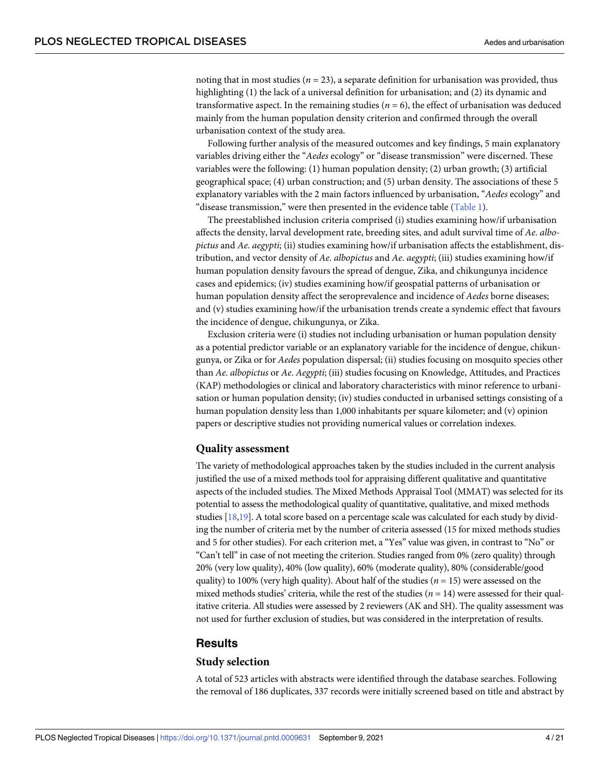<span id="page-3-0"></span>noting that in most studies ( $n = 23$ ), a separate definition for urbanisation was provided, thus highlighting (1) the lack of a universal definition for urbanisation; and (2) its dynamic and transformative aspect. In the remaining studies ( $n = 6$ ), the effect of urbanisation was deduced mainly from the human population density criterion and confirmed through the overall urbanisation context of the study area.

Following further analysis of the measured outcomes and key findings, 5 main explanatory variables driving either the "*Aedes* ecology" or "disease transmission" were discerned. These variables were the following: (1) human population density; (2) urban growth; (3) artificial geographical space; (4) urban construction; and (5) urban density. The associations of these 5 explanatory variables with the 2 main factors influenced by urbanisation, "*Aedes* ecology" and "disease transmission," were then presented in the evidence table [\(Table](#page-4-0) 1).

The preestablished inclusion criteria comprised (i) studies examining how/if urbanisation affects the density, larval development rate, breeding sites, and adult survival time of *Ae*. *albopictus* and *Ae*. *aegypti*; (ii) studies examining how/if urbanisation affects the establishment, distribution, and vector density of *Ae*. *albopictus* and *Ae*. *aegypti*; (iii) studies examining how/if human population density favours the spread of dengue, Zika, and chikungunya incidence cases and epidemics; (iv) studies examining how/if geospatial patterns of urbanisation or human population density affect the seroprevalence and incidence of *Aedes* borne diseases; and (v) studies examining how/if the urbanisation trends create a syndemic effect that favours the incidence of dengue, chikungunya, or Zika.

Exclusion criteria were (i) studies not including urbanisation or human population density as a potential predictor variable or an explanatory variable for the incidence of dengue, chikungunya, or Zika or for *Aedes* population dispersal; (ii) studies focusing on mosquito species other than *Ae*. *albopictus* or *Ae*. *Aegypti*; (iii) studies focusing on Knowledge, Attitudes, and Practices (KAP) methodologies or clinical and laboratory characteristics with minor reference to urbanisation or human population density; (iv) studies conducted in urbanised settings consisting of a human population density less than 1,000 inhabitants per square kilometer; and (v) opinion papers or descriptive studies not providing numerical values or correlation indexes.

#### **Quality assessment**

The variety of methodological approaches taken by the studies included in the current analysis justified the use of a mixed methods tool for appraising different qualitative and quantitative aspects of the included studies. The Mixed Methods Appraisal Tool (MMAT) was selected for its potential to assess the methodological quality of quantitative, qualitative, and mixed methods studies [\[18,19](#page-18-0)]. A total score based on a percentage scale was calculated for each study by dividing the number of criteria met by the number of criteria assessed (15 for mixed methods studies and 5 for other studies). For each criterion met, a "Yes" value was given, in contrast to "No" or "Can't tell" in case of not meeting the criterion. Studies ranged from 0% (zero quality) through 20% (very low quality), 40% (low quality), 60% (moderate quality), 80% (considerable/good quality) to 100% (very high quality). About half of the studies (*n* = 15) were assessed on the mixed methods studies' criteria, while the rest of the studies (*n* = 14) were assessed for their qualitative criteria. All studies were assessed by 2 reviewers (AK and SH). The quality assessment was not used for further exclusion of studies, but was considered in the interpretation of results.

#### **Results**

#### **Study selection**

A total of 523 articles with abstracts were identified through the database searches. Following the removal of 186 duplicates, 337 records were initially screened based on title and abstract by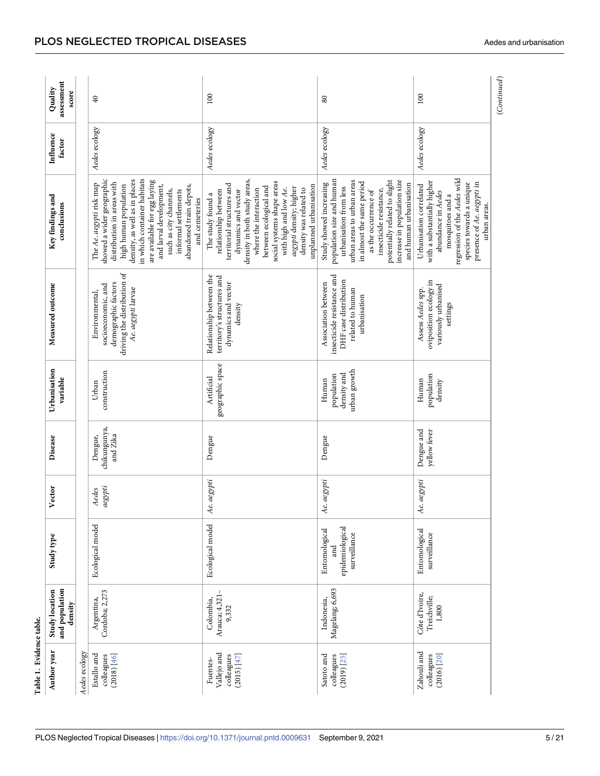<span id="page-4-0"></span>

| Table 1. Evidence table.                                                     |                                             |                                                         |                  |                                     |                                                    |                                                                                                                  |                                                                                                                                                                                                                                                                                                                                        |                     |                                |
|------------------------------------------------------------------------------|---------------------------------------------|---------------------------------------------------------|------------------|-------------------------------------|----------------------------------------------------|------------------------------------------------------------------------------------------------------------------|----------------------------------------------------------------------------------------------------------------------------------------------------------------------------------------------------------------------------------------------------------------------------------------------------------------------------------------|---------------------|--------------------------------|
| Author year                                                                  | and population<br>Study location<br>density | Study type                                              | Vector           | Disease                             | Urbanisation<br>variable                           | Measured outcome                                                                                                 | Key findings and<br>conclusions                                                                                                                                                                                                                                                                                                        | Influence<br>factor | assessment<br>Quality<br>score |
| Aedes ecology                                                                |                                             |                                                         |                  |                                     |                                                    |                                                                                                                  |                                                                                                                                                                                                                                                                                                                                        |                     |                                |
| Estallo and<br>(2018) [46]<br>colleagues                                     | Cordoba; 2,273<br>Argentina,                | Ecological model                                        | aegypti<br>Aedes | chikungunya,<br>and Zika<br>Dengue, | construction<br>Urban                              | driving the distribution of<br>demographic factors<br>socioeconomic, and<br>Ae. aegypti larvae<br>Environmental, | in which container habitats<br>showed a wider geographic<br>density, as well as in places<br>are available for egg laying<br>distribution in areas with<br>The Ae. aegypti risk map<br>and larval development,<br>abandoned train depots,<br>high human population<br>such as city channels,<br>informal settlements<br>and cemeteries | Aedes ecology       | $\overline{40}$                |
| Vallejo and<br>colleagues<br>(2015) $\overline{\left[47\right]}$<br>Fuentes- | Arauca; 4,321-<br>Colombia,<br>9,332        | Ecological model                                        | Ae. aegypti      | Dengue                              | geographic space<br>Artificial                     | Relationship between the<br>territory's structures and<br>dynamics and vector<br>density                         | density in both study areas,<br>social systems shape areas<br>territorial structures and<br>unplanned urbanisation<br>between ecological and<br>aegypti density; higher<br>with high and low Ae.<br>density was related to<br>where the interaction<br>dynamics and vector<br>relationship between<br>The study found a                | Aedes ecology       | 100                            |
| Satoto and<br>colleagues<br>$(2019)$ $[25]$                                  | Magelang; 6,693<br>Indonesia,               | epidemiological<br>Entomological<br>surveillance<br>and | Ae. aegypti      | Dengue                              | urban growth<br>density and<br>population<br>Human | insecticide resistance and<br>DHF case distribution<br>Association between<br>related to human<br>urbanisation   | population size and human<br>potentially related to slight<br>urban areas to urban areas<br>increase in population size<br>in almost the same period<br>Study showed increasing<br>and human urbanisation<br>urbanisation from less<br>insecticide resistance,<br>as the occurrence of                                                 | Aedes ecology       | $80\,$                         |
| Zahouli and<br>colleagues<br>(2016) [20]                                     | Côte d'Ivoire,<br>Treichville;<br>$1,800$   | Entomological<br>surveillance                           | Ae. aegypti      | Dengue and<br>yellow fever          | population<br>Human<br>density                     | oviposition ecology in<br>variously urbanised<br>Assess Aedes spp.<br>settings                                   | regression of the Aedes wild<br>with a substantially higher<br>species towards a unique<br>presence of Ae. aegypti in<br>Urbanisation correlated<br>abundance in Aedes<br>mosquitoes and a<br>urban areas.                                                                                                                             | Aedes ecology       | 100                            |
|                                                                              |                                             |                                                         |                  |                                     |                                                    |                                                                                                                  |                                                                                                                                                                                                                                                                                                                                        |                     | (Continued)                    |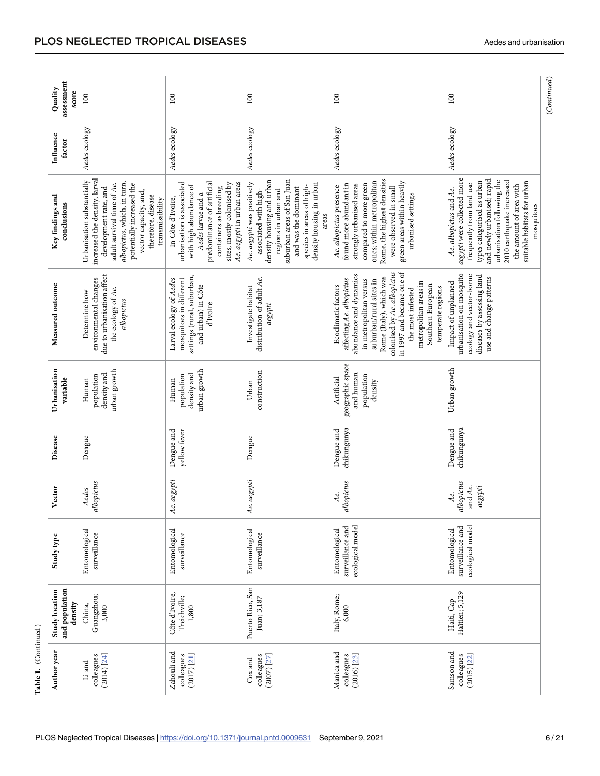<span id="page-5-0"></span>

|                      | assessment<br>Quality<br>score                     | 100                                                                                                                                                                                                                                               | 100                                                                                                                                                                                                                 | 100                                                                                                                                                                                                                              | 100                                                                                                                                                                                                                                                                                                           | 100                                                                                                                                                                                                                                                                              |
|----------------------|----------------------------------------------------|---------------------------------------------------------------------------------------------------------------------------------------------------------------------------------------------------------------------------------------------------|---------------------------------------------------------------------------------------------------------------------------------------------------------------------------------------------------------------------|----------------------------------------------------------------------------------------------------------------------------------------------------------------------------------------------------------------------------------|---------------------------------------------------------------------------------------------------------------------------------------------------------------------------------------------------------------------------------------------------------------------------------------------------------------|----------------------------------------------------------------------------------------------------------------------------------------------------------------------------------------------------------------------------------------------------------------------------------|
|                      | Influence<br>factor                                | Aedes ecology                                                                                                                                                                                                                                     | Aedes ecology                                                                                                                                                                                                       | Aedes ecology                                                                                                                                                                                                                    | Aedes ecology                                                                                                                                                                                                                                                                                                 | Aedes ecology                                                                                                                                                                                                                                                                    |
|                      | Key findings and<br>conclusions                    | increased the density, larval<br>Urbanisation substantially<br>albopictus, which, in turn,<br>adult survival time of Ae.<br>potentially increased the<br>development rate, and<br>vector capacity, and,<br>therefore, disease<br>transmissibility | predominance of artificial<br>Ae. aegypti in urban areas<br>urbanisation is associated<br>sites, mostly colonised by<br>with high abundance of<br>containers as breeding<br>Aedes larvae and a<br>In Côte d'Ivoire, | suburban areas of San Juan<br>density housing and urban<br>Ae. aegypti was positively<br>density housing in urban<br>species in areas of high-<br>and was the dominant<br>regions in urban and<br>associated with high-<br>areas | Rome, the highest densities<br>ones; within metropolitan<br>green areas within heavily<br>compared to more green<br>found more abundant in<br>strongly urbanised areas<br>Ae. albopictus presence<br>were observed in small<br>urbanised settings                                                             | aegypti were collected more<br>and newly urbanised; rapid<br>urbanisation following the<br>2010 earthquake increased<br>types categorised as urban<br>suitable habitats for urban<br>frequently from land use<br>the amount of area with<br>Ae. albopictus and Ae.<br>mosquitoes |
|                      | Measured outcome                                   | due to urbanisation affect<br>environmental changes<br>the ecology of Ae.<br>Determine how<br>albopictus                                                                                                                                          | settings (rural, suburban,<br>mosquitoes in different<br>Larval ecology of Aedes<br>and urban) in Côte<br>d'Ivoire                                                                                                  | distribution of adult Ae.<br>Investigate habitat<br>$a e g y p t i$                                                                                                                                                              | colonised by Ae. albopictus<br>in 1997 and became one of<br>abundance and dynamics<br>Rome (Italy), which was<br>affecting Ae. albopictus<br>in metropolitan versus<br>suburban/rural sites in<br>metropolitan areas in<br>Southern European<br>Ecoclimatic factors<br>temperate regions<br>the most infested | urbanisation on mosquito<br>ecology and vector-borne<br>diseases by assessing land<br>use and change patterns<br>Impact of unplanned                                                                                                                                             |
|                      | Urbanisation<br>variable                           | urban growth<br>density and<br>population<br>Human                                                                                                                                                                                                | urban growth<br>density and<br>population<br>Human                                                                                                                                                                  | construction<br>Urban                                                                                                                                                                                                            | geographic space<br>and human<br>population<br>Artificial<br>density                                                                                                                                                                                                                                          | Urban growth                                                                                                                                                                                                                                                                     |
|                      | Disease                                            | Dengue                                                                                                                                                                                                                                            | Dengue and<br>yellow fever                                                                                                                                                                                          | Dengue                                                                                                                                                                                                                           | chikungunya<br>Dengue and                                                                                                                                                                                                                                                                                     | chikungunya<br>Dengue and                                                                                                                                                                                                                                                        |
|                      | Vector                                             | albopictus<br>Aedes                                                                                                                                                                                                                               | Ae. aegypti                                                                                                                                                                                                         | e. aegypti<br>Р,                                                                                                                                                                                                                 | albopictus<br>Аe.                                                                                                                                                                                                                                                                                             | albopictus<br>and Ae.<br>aegypti<br>Аe.                                                                                                                                                                                                                                          |
|                      | Study type                                         | Entomological<br>surveillance                                                                                                                                                                                                                     | Entomological<br>surveillance                                                                                                                                                                                       | Entomological<br>surveillance                                                                                                                                                                                                    | ecological model<br>surveillance and<br>Entomological                                                                                                                                                                                                                                                         | ecological model<br>surveillance and<br>Entomological                                                                                                                                                                                                                            |
|                      | and population<br><b>Study location</b><br>density | Guangzhou;<br>China,<br>3,000                                                                                                                                                                                                                     | Côte d'Ivoire,<br>Treichville;<br>1,800                                                                                                                                                                             | Puerto Rico, San<br>Juan; 3,187                                                                                                                                                                                                  | Italy, Rome;<br>6,000                                                                                                                                                                                                                                                                                         | Haïtien; 5,129<br>Haiti, Cap-                                                                                                                                                                                                                                                    |
| Table 1. (Continued) | Author year                                        | $(2014)$ [24]<br>colleagues<br>Li and                                                                                                                                                                                                             | Zahouli and<br>$(2017)$ [21]<br>colleagues                                                                                                                                                                          | colleagues<br>$(2007)$ [27]<br>$\cos$ and                                                                                                                                                                                        | Manica and<br>colleagues<br>$(2016)$ [23]                                                                                                                                                                                                                                                                     | Samson and<br>colleagues<br>$(2015)$ [22]                                                                                                                                                                                                                                        |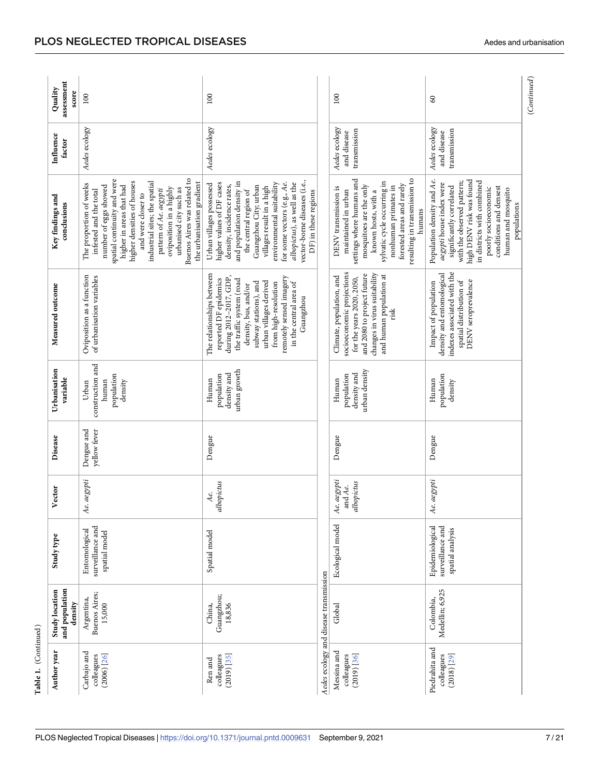<span id="page-6-0"></span>

|                      | assessment<br>Quality<br>score              | 100                                                                                                                                                                                                                                                                                                                                                                   | 100                                                                                                                                                                                                                                                                                                                                               |                                        | 100                                                                                                                                                                                                                                                      | $\mbox{ }_{\mbox{}}$                                                                                                                                                                                                                                              | (Continued) |
|----------------------|---------------------------------------------|-----------------------------------------------------------------------------------------------------------------------------------------------------------------------------------------------------------------------------------------------------------------------------------------------------------------------------------------------------------------------|---------------------------------------------------------------------------------------------------------------------------------------------------------------------------------------------------------------------------------------------------------------------------------------------------------------------------------------------------|----------------------------------------|----------------------------------------------------------------------------------------------------------------------------------------------------------------------------------------------------------------------------------------------------------|-------------------------------------------------------------------------------------------------------------------------------------------------------------------------------------------------------------------------------------------------------------------|-------------|
|                      | Influence<br>factor                         | Aedes ecology                                                                                                                                                                                                                                                                                                                                                         | Aedes ecology                                                                                                                                                                                                                                                                                                                                     |                                        | Aedes ecology<br>transmission<br>and disease                                                                                                                                                                                                             | Aedes ecology<br>transmission<br>and disease                                                                                                                                                                                                                      |             |
|                      | Key findings and<br>conclusions             | spatial continuity and were<br>Buenos Aires was related to<br>higher densities of houses<br>industrial sites; the spatial<br>the urbanisation gradient<br>The proportion of weeks<br>higher in areas that had<br>number of eggs showed<br>oviposition in a highly<br>urbanised city such as<br>pattern of Ae. aegypti<br>infested and the total<br>and were closer to | vector-borne diseases (i.e.,<br>for some vectors (e.g., Ae.<br>and population density in<br>albopictus), as well as the<br>environmental suitability<br>higher values of DF cases<br>Urban villages possessed<br>density, incidence rates,<br>Guangzhou City; urban<br>villages result in a high<br>DF) in these regions<br>the central region of |                                        | settings where humans and<br>resulting in transmission to<br>sylvatic cycle occurring in<br>forested areas and rarely<br>mosquitoes are the only<br>nonhuman primates in<br>DENV transmission is<br>maintained in urban<br>known hosts, with a<br>humans | high DENV risk was found<br>Population density and Ae.<br>in districts with combined<br>with the observed pattern;<br>aegypti house index were<br>significantly correlated<br>conditions and densest<br>poorly socioeconomic<br>human and mosquito<br>populations |             |
|                      | Measured outcome                            | Oviposition as a function<br>of urbanisation variables                                                                                                                                                                                                                                                                                                                | The relationships between<br>remotely sensed imagery<br>during 2012-2017, GDP,<br>reported DF epidemics<br>the traffic system (road<br>urban villages derived<br>subway stations), and<br>in the central area of<br>from high-resolution<br>density, bus, and/or<br>Guangzhou                                                                     |                                        | socioeconomic projections<br>changes in virus suitability<br>and 2080 to project future<br>and human population at<br>Climate, population, and<br>for the years 2020, 2050,<br>$_{\rm risk}$                                                             | indexes associated with the<br>density and entomological<br>spatial distribution of<br>DENV seroprevalence<br>Impact of population                                                                                                                                |             |
|                      | Urbanisation<br>variable                    | construction and<br>population<br>human<br>density<br>Urban                                                                                                                                                                                                                                                                                                           | urban growth<br>density and<br>population<br>Human                                                                                                                                                                                                                                                                                                |                                        | urban density<br>density and<br>population<br>Human                                                                                                                                                                                                      | population<br>Human<br>density                                                                                                                                                                                                                                    |             |
|                      | Disease                                     | Dengue and<br>yellow fever                                                                                                                                                                                                                                                                                                                                            | Dengue                                                                                                                                                                                                                                                                                                                                            |                                        | Dengue                                                                                                                                                                                                                                                   | Dengue                                                                                                                                                                                                                                                            |             |
|                      | Vector                                      | Ae. aegypti                                                                                                                                                                                                                                                                                                                                                           | albopictus<br>Аe.                                                                                                                                                                                                                                                                                                                                 |                                        | Ae. aegypti<br>albopictus<br>and Ae.                                                                                                                                                                                                                     | Ae. aegypti                                                                                                                                                                                                                                                       |             |
|                      | Study type                                  | surveillance and<br>Entomological<br>spatial model                                                                                                                                                                                                                                                                                                                    | Spatial model                                                                                                                                                                                                                                                                                                                                     |                                        | Ecological model                                                                                                                                                                                                                                         | surveillance and<br>Epidemiological<br>spatial analysis                                                                                                                                                                                                           |             |
|                      | and population<br>Study location<br>density | Buenos Aires;<br>Argentina,<br>15,000                                                                                                                                                                                                                                                                                                                                 | Guangzhou;<br>18,836<br>China,                                                                                                                                                                                                                                                                                                                    | Aedes ecology and disease transmission | Global                                                                                                                                                                                                                                                   | Medellin; 6,925<br>Colombia,                                                                                                                                                                                                                                      |             |
| Table 1. (Continued) | Author year                                 | Carbajo and<br>colleagues<br>$(2006)$ [26]                                                                                                                                                                                                                                                                                                                            | colleagues<br>$(2019)$ [35]<br>Ren and                                                                                                                                                                                                                                                                                                            |                                        | Messina and<br>colleagues<br>$(2019)$ [36]                                                                                                                                                                                                               | Piedrahita and<br>colleagues<br>$(2018)$ $[29]$                                                                                                                                                                                                                   |             |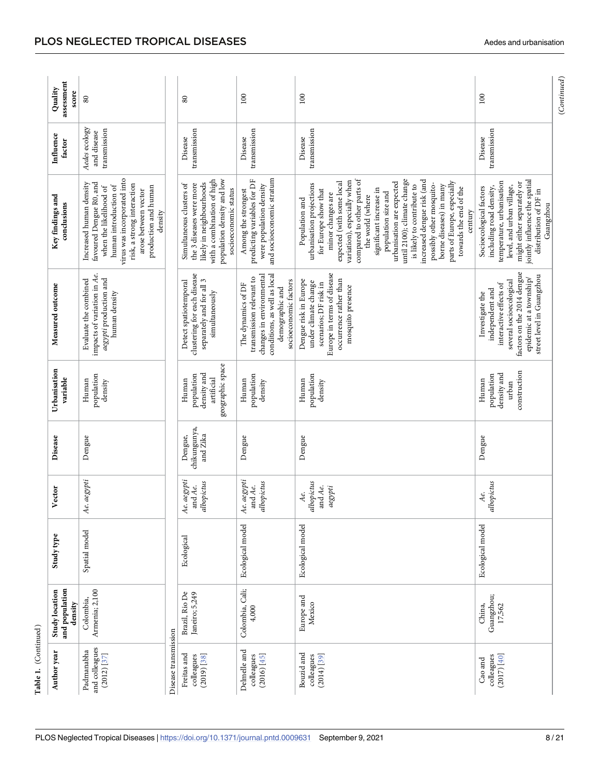<span id="page-7-0"></span>

| assessment<br>Quality<br>score<br>100<br>100<br>100<br>$80\,$<br>80<br>Aedes ecology<br>transmission<br>transmission<br>transmission<br>transmission<br>transmission<br>and disease<br>Influence<br>Disease<br>Disease<br>Disease<br>Disease<br>factor<br>and socioeconomic stratum<br>virus was incorporated into<br>population density and low<br>compared to other parts of<br>with a combination of high<br>predicting variables for DF<br>until 2100); climate change<br>jointly influence the spatial<br>variation), especially when<br>increased dengue risk (and<br>expected (with some local<br>parts of Europe, especially<br>temperature, urbanisation<br>urbanisation are expected<br>might either separately or<br>likely in neighbourhoods<br>Increased human density<br>favoured Dengue R0, and<br>the 3 diseases were more<br>possibly other mosquito-<br>risk, a strong interaction<br>Simultaneous clusters of<br>urbanisation projections<br>were population density<br>borne diseases) in many<br>human introduction of<br>is likely to contribute to<br>level, and urban village,<br>production and human<br>when the likelihood of<br>including road density,<br>Socioecological factors<br>towards the end of the<br>significant increase in<br>arose between vector<br>socioeconomic status<br>Among the strongest<br>for Europe show that<br>distribution of DF in<br>population size and<br>minor changes are<br>Key findings and<br>the world (where<br>Population and<br>conclusions<br>Guangzhou<br>density<br>century<br>factors on the 2014 dengue<br>Europe in terms of disease<br>clustering for each disease<br>impacts of variation in Ae.<br>conditions, as well as local<br>changes in environmental<br>street level in Guangzhou<br>transmission relevant to<br>epidemic at a township/<br>aegypti production and<br>Evaluate the combined<br>occurrence rather than<br>Dengue risk in Europe<br>several socioecological<br>separately and for all 3<br>socioeconomic factors<br>Detect spatiotemporal<br>under climate change<br>scenarios; DF risk in<br>The dynamics of DF<br>interactive effects of<br>Measured outcome<br>mosquito presence<br>demographic and<br>independent and<br>simultaneously<br>human density<br>Investigate the<br>geographic space<br>Urbanisation<br>construction<br>density and<br>density and<br>population<br>population<br>population<br>population<br>population<br>variable<br>artificial<br>Human<br>Human<br>Human<br>Human<br>Human<br>density<br>density<br>density<br>urban<br>chikungunya,<br>Dengue,<br>and Zika<br>Dengue<br>Dengue<br>Dengue<br>Dengue<br>Disease<br>Ae. aegypti<br>Ae. aegypti<br>Ae. aegypti<br>albopictus<br>albopictus<br>albopictus<br>albopictus<br>and Ae.<br>and Ae.<br>and Ae.<br>aegypti<br>Vector<br>Аe.<br>Аe.<br>Ecological model<br>Ecological model<br>Ecological model<br>Spatial model<br>Study type<br>Ecological<br>Colombia, Cali;<br>and population<br>Armenia; 2,100<br><b>Study location</b><br>Brazil, Rio De<br>Janeiro; 5,249<br>Guangzhou;<br>Europe and<br>Colombia,<br>Mexico<br>density<br>China,<br>17,562<br>4,000<br>Disease transmission<br>and colleagues<br>Delmelle and<br>Padmanabha<br>Author year<br>Bouzid and<br>Freitas and<br>$(2012)$ $[37]$<br>colleagues<br>$(2014)$ $[39]$<br>(2017) [40]<br>colleagues<br>(2019) [38]<br>colleagues<br>(2016) [45]<br>colleagues<br>Cao and | Table 1. (Continued) |  |  |  |  |  |
|----------------------------------------------------------------------------------------------------------------------------------------------------------------------------------------------------------------------------------------------------------------------------------------------------------------------------------------------------------------------------------------------------------------------------------------------------------------------------------------------------------------------------------------------------------------------------------------------------------------------------------------------------------------------------------------------------------------------------------------------------------------------------------------------------------------------------------------------------------------------------------------------------------------------------------------------------------------------------------------------------------------------------------------------------------------------------------------------------------------------------------------------------------------------------------------------------------------------------------------------------------------------------------------------------------------------------------------------------------------------------------------------------------------------------------------------------------------------------------------------------------------------------------------------------------------------------------------------------------------------------------------------------------------------------------------------------------------------------------------------------------------------------------------------------------------------------------------------------------------------------------------------------------------------------------------------------------------------------------------------------------------------------------------------------------------------------------------------------------------------------------------------------------------------------------------------------------------------------------------------------------------------------------------------------------------------------------------------------------------------------------------------------------------------------------------------------------------------------------------------------------------------------------------------------------------------------------------------------------------------------------------------------------------------------------------------------------------------------------------------------------------------------------------------------------------------------------------------------------------------------------------------------------------------------------------------------------------------------------------------------------------------------------------------------------------------------------------------------------------------------------------------------------------------------------------------------------------------------------------------------------------------------------------------------------------------------------------------------------------------------------------------------------------------------------|----------------------|--|--|--|--|--|
|                                                                                                                                                                                                                                                                                                                                                                                                                                                                                                                                                                                                                                                                                                                                                                                                                                                                                                                                                                                                                                                                                                                                                                                                                                                                                                                                                                                                                                                                                                                                                                                                                                                                                                                                                                                                                                                                                                                                                                                                                                                                                                                                                                                                                                                                                                                                                                                                                                                                                                                                                                                                                                                                                                                                                                                                                                                                                                                                                                                                                                                                                                                                                                                                                                                                                                                                                                                                                                  |                      |  |  |  |  |  |
|                                                                                                                                                                                                                                                                                                                                                                                                                                                                                                                                                                                                                                                                                                                                                                                                                                                                                                                                                                                                                                                                                                                                                                                                                                                                                                                                                                                                                                                                                                                                                                                                                                                                                                                                                                                                                                                                                                                                                                                                                                                                                                                                                                                                                                                                                                                                                                                                                                                                                                                                                                                                                                                                                                                                                                                                                                                                                                                                                                                                                                                                                                                                                                                                                                                                                                                                                                                                                                  |                      |  |  |  |  |  |
|                                                                                                                                                                                                                                                                                                                                                                                                                                                                                                                                                                                                                                                                                                                                                                                                                                                                                                                                                                                                                                                                                                                                                                                                                                                                                                                                                                                                                                                                                                                                                                                                                                                                                                                                                                                                                                                                                                                                                                                                                                                                                                                                                                                                                                                                                                                                                                                                                                                                                                                                                                                                                                                                                                                                                                                                                                                                                                                                                                                                                                                                                                                                                                                                                                                                                                                                                                                                                                  |                      |  |  |  |  |  |
|                                                                                                                                                                                                                                                                                                                                                                                                                                                                                                                                                                                                                                                                                                                                                                                                                                                                                                                                                                                                                                                                                                                                                                                                                                                                                                                                                                                                                                                                                                                                                                                                                                                                                                                                                                                                                                                                                                                                                                                                                                                                                                                                                                                                                                                                                                                                                                                                                                                                                                                                                                                                                                                                                                                                                                                                                                                                                                                                                                                                                                                                                                                                                                                                                                                                                                                                                                                                                                  |                      |  |  |  |  |  |
|                                                                                                                                                                                                                                                                                                                                                                                                                                                                                                                                                                                                                                                                                                                                                                                                                                                                                                                                                                                                                                                                                                                                                                                                                                                                                                                                                                                                                                                                                                                                                                                                                                                                                                                                                                                                                                                                                                                                                                                                                                                                                                                                                                                                                                                                                                                                                                                                                                                                                                                                                                                                                                                                                                                                                                                                                                                                                                                                                                                                                                                                                                                                                                                                                                                                                                                                                                                                                                  |                      |  |  |  |  |  |
|                                                                                                                                                                                                                                                                                                                                                                                                                                                                                                                                                                                                                                                                                                                                                                                                                                                                                                                                                                                                                                                                                                                                                                                                                                                                                                                                                                                                                                                                                                                                                                                                                                                                                                                                                                                                                                                                                                                                                                                                                                                                                                                                                                                                                                                                                                                                                                                                                                                                                                                                                                                                                                                                                                                                                                                                                                                                                                                                                                                                                                                                                                                                                                                                                                                                                                                                                                                                                                  |                      |  |  |  |  |  |
|                                                                                                                                                                                                                                                                                                                                                                                                                                                                                                                                                                                                                                                                                                                                                                                                                                                                                                                                                                                                                                                                                                                                                                                                                                                                                                                                                                                                                                                                                                                                                                                                                                                                                                                                                                                                                                                                                                                                                                                                                                                                                                                                                                                                                                                                                                                                                                                                                                                                                                                                                                                                                                                                                                                                                                                                                                                                                                                                                                                                                                                                                                                                                                                                                                                                                                                                                                                                                                  |                      |  |  |  |  |  |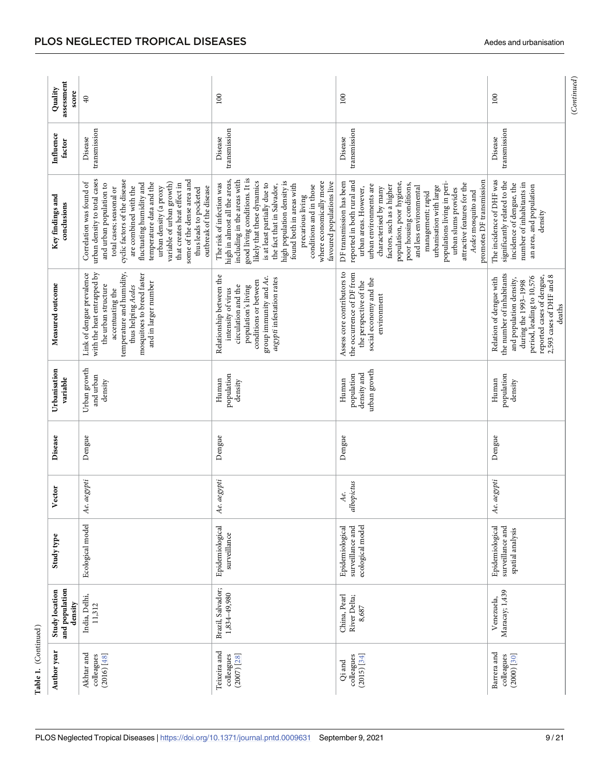<span id="page-8-0"></span>

| Table 1. (Continued)                        |                                                    |                                                         |                   |         |                                                    |                                                                                                                                                                                                             |                                                                                                                                                                                                                                                                                                                                                                                                                                            |                         |                                |
|---------------------------------------------|----------------------------------------------------|---------------------------------------------------------|-------------------|---------|----------------------------------------------------|-------------------------------------------------------------------------------------------------------------------------------------------------------------------------------------------------------------|--------------------------------------------------------------------------------------------------------------------------------------------------------------------------------------------------------------------------------------------------------------------------------------------------------------------------------------------------------------------------------------------------------------------------------------------|-------------------------|--------------------------------|
| Author year                                 | and population<br><b>Study location</b><br>density | Study type                                              | Vector            | Disease | Urbanisation<br>variable                           | Measured outcome                                                                                                                                                                                            | Key findings and<br>conclusions                                                                                                                                                                                                                                                                                                                                                                                                            | Influence<br>factor     | assessment<br>Quality<br>score |
| Akhtar and<br>(2016) [48]<br>colleagues     | India, Delhi,<br>11,312                            | Ecological model                                        | Ae. aegypti       | Dengue  | Urban growth<br>and urban<br>density               | temperature and humidity,<br>with the heat entrapped by<br>Link of dengue prevalence<br>mosquitoes to breed faster<br>and in larger number<br>the urban structure<br>thus helping Aedes<br>accentuating the | urban density to total cases<br>cyclic factors of the disease<br>some of the dense area and<br>Correlation was found of<br>temperature data and the<br>variable of urban growth)<br>that creates heat effect in<br>and urban population to<br>fluctuating humidity and<br>are combined with the<br>total cases; seasonal or<br>urban density (a proxy<br>outbreak of the disease<br>thus leads to pocketed                                 | transmission<br>Disease | $\overline{40}$                |
| Teixeira and<br>colleagues<br>$(2007)$ [28] | Brazil, Salvador;<br>1,834-49,980                  | Epidemiological<br>surveillance                         | Ae. aegypti       | Dengue  | population<br>Human<br>density                     | Relationship between the<br>group immunity and Ae.<br>aegypti infestation rates<br>conditions or between<br>circulation and the<br>population's living<br>intensity of virus                                | good living conditions. It is<br>high in almost all the areas,<br>including in the areas with<br>likely that these dynamics<br>high population density is<br>where economically more<br>favoured populations live<br>The risk of infection was<br>is at least partially due to<br>found both in areas with<br>the fact that in Salvador,<br>conditions and in those<br>precarious living                                                   | transmission<br>Disease | 100                            |
| colleagues<br>(2015) [34]<br>Qi and         | China, Pearl<br>River Delta;<br>8,687              | surveillance and<br>ecological model<br>Epidemiological | albopictus<br>Аe. | Dengue  | urban growth<br>density and<br>population<br>Human | Assess core contributors to<br>the occurrence of DF from<br>social economy and the<br>the perspective of the<br>environment                                                                                 | promotes DF transmission<br>reported in both rural and<br>DF transmission has been<br>populations living in peri-<br>population, poor hygiene,<br>poor housing conditions,<br>attractive features for the<br>urban environments are<br>factors, such as a higher<br>and less environmental<br>urbanisation with large<br>urban areas. However,<br>characterised by many<br>urban slums provides<br>Aedes mosquito and<br>management; rapid | transmission<br>Disease | 100                            |
| Barrera and<br>colleagues<br>$(2000)$ [30]  | Maracay; 1,439<br>Venezuela,                       | Epidemiological<br>surveillance and<br>spatial analysis | Ae. aegypti       | Dengue  | population<br>Human<br>density                     | the number of inhabitants<br>reported cases of dengue,<br>2,593 cases of DHF and 8<br>period, leading to 10,576<br>Relation of dengue with<br>and population density,<br>during the 1993-1998<br>deaths     | The incidence of DHF was<br>significantly related to the<br>incidence of dengue, the<br>number of inhabitants in<br>an area, and population<br>density                                                                                                                                                                                                                                                                                     | transmission<br>Disease | 100                            |
|                                             |                                                    |                                                         |                   |         |                                                    |                                                                                                                                                                                                             |                                                                                                                                                                                                                                                                                                                                                                                                                                            |                         | (Continued)                    |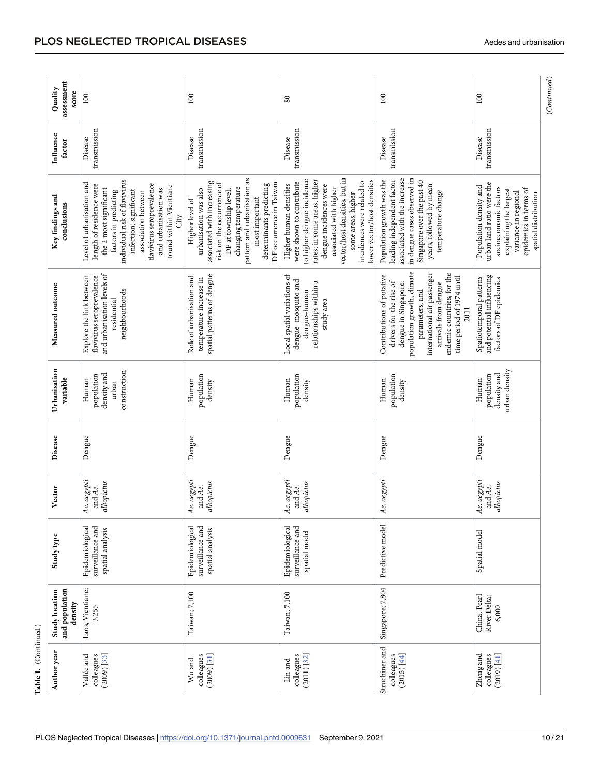<span id="page-9-0"></span>

| Table 1. (Continued)                       |                                                    |                                                         |                                      |         |                                                             |                                                                                                                                                                                                                                                         |                                                                                                                                                                                                                                                                                          |                         |                                |
|--------------------------------------------|----------------------------------------------------|---------------------------------------------------------|--------------------------------------|---------|-------------------------------------------------------------|---------------------------------------------------------------------------------------------------------------------------------------------------------------------------------------------------------------------------------------------------------|------------------------------------------------------------------------------------------------------------------------------------------------------------------------------------------------------------------------------------------------------------------------------------------|-------------------------|--------------------------------|
| Author year                                | and population<br><b>Study location</b><br>density | Study type                                              | Vector                               | Disease | Urbanisation<br>variable                                    | Measured outcome                                                                                                                                                                                                                                        | Key findings and<br>conclusions                                                                                                                                                                                                                                                          | Influence<br>factor     | assessment<br>Quality<br>score |
| $(2009)$ [33]<br>Vallée and<br>colleagues  | Laos, Vientiane;<br>3,255                          | Epidemiological<br>surveillance and<br>spatial analysis | e. aegypti<br>albopictus<br>and Ae.  | Dengue  | construction<br>density and<br>population<br>Human<br>urban | and urbanisation levels of<br>Explore the link between<br>flavivirus seroprevalence<br>neighbourhoods<br>residential                                                                                                                                    | individual risk of flavivirus<br>Level of urbanisation and<br>flavivirus seroprevalence<br>length of residence were<br>found within Vientiane<br>the 2 most significant<br>and urbanisation was<br>infection; significant<br>factors in predicting<br>association between<br>Ğīv         | transmission<br>Disease | 100                            |
| $(2009)$ [31]<br>colleagues<br>Wu and      | Taiwan; 7,100                                      | Epidemiological<br>surveillance and<br>spatial analysis | e. aegypti<br>albopictus<br>and Ae.  | Dengue  | population<br>Human<br>density                              | spatial patterns of dengue<br>Role of urbanisation and<br>temperature increase in                                                                                                                                                                       | pattern and urbanisation as<br>associated with increasing<br>risk on the occurrence of<br>DF occurrence in Taiwan<br>determinants predicting<br>changing temperature<br>urbanisation was also<br>DF at township level;<br>most important<br>Higher level of                              | transmission<br>Disease | 100                            |
| $(2011)$ $[32]$<br>colleagues<br>Lin and   | Taiwan; 7,100                                      | surveillance and<br>Epidemiological<br>spatial model    | e. aegypti<br>albopictus<br>and Ae.  | Dengue  | population<br>density<br>Human                              | Local spatial variations of<br>dengue-mosquito and<br>relationships within a<br>dengue-human<br>study area                                                                                                                                              | vector/host densities, but in<br>to higher dengue incidence<br>rates; in some areas, higher<br>lower vector/host densities<br>incidences were related to<br>were shown to contribute<br>Higher human densities<br>dengue incidences were<br>associated with higher<br>some areas, higher | transmission<br>Disease | $80\,$                         |
| Struchiner and<br>colleagues<br>(2015)[44] | Singapore; 7,804                                   | Predictive model                                        | e. aegypti<br>↸                      | Dengue  | population<br>Human<br>density                              | population growth, climate<br>international air passenger<br>endemic countries, for the<br>Contributions of putative<br>time period of 1974 until<br>drivers for the rise of<br>arrivals from dengue<br>dengue in Singapore:<br>parameters, and<br>2011 | associated with the increase<br>in dengue cases observed in<br>leading independent factor<br>Population growth was the<br>Singapore over the past 40<br>years, followed by mean<br>temperature change                                                                                    | transmission<br>Disease | 100                            |
| Zheng and<br>(2019) [41]<br>colleagues     | China, Pearl<br>River Delta;<br>6,000              | Spatial model                                           | Ae. aegypti<br>and Ae.<br>albopictus | Dengue  | urban density<br>density and<br>population<br>Human         | and potential influencing<br>Spatiotemporal patterns<br>factors of DF epidemics                                                                                                                                                                         | urban land ratio were the<br>Population density and<br>socioeconomic factors<br>epidemics in terms of<br>explaining the largest<br>variance in regional<br>spatial distribution                                                                                                          | transmission<br>Disease | 100                            |
|                                            |                                                    |                                                         |                                      |         |                                                             |                                                                                                                                                                                                                                                         |                                                                                                                                                                                                                                                                                          |                         | (Continued)                    |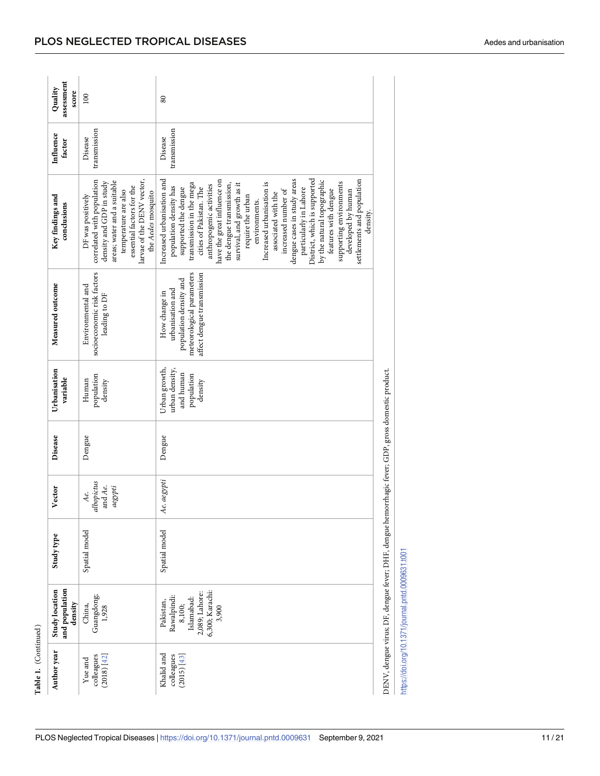|                      | assessment<br>Quality<br>score                     | 100                                                                                                                                                                                                                 | $80\,$                                                                                                                                                                                                                                                                                                                                                                                                                                                                                                                                                                                                              |
|----------------------|----------------------------------------------------|---------------------------------------------------------------------------------------------------------------------------------------------------------------------------------------------------------------------|---------------------------------------------------------------------------------------------------------------------------------------------------------------------------------------------------------------------------------------------------------------------------------------------------------------------------------------------------------------------------------------------------------------------------------------------------------------------------------------------------------------------------------------------------------------------------------------------------------------------|
|                      | Influence<br>factor                                | transmission<br>Disease                                                                                                                                                                                             | transmission<br>Disease                                                                                                                                                                                                                                                                                                                                                                                                                                                                                                                                                                                             |
|                      | Key findings and<br>conclusions                    | correlated with population<br>larvae of the DENV vector,<br>areas; water and a suitable<br>density and GDP in study<br>essential factors for the<br>temperature are also<br>the Aedes mosquito<br>DF was positively | Increased urbanisation and<br>dengue cases in study areas<br>District, which is supported<br>settlements and population<br>by the natural topographic<br>have the great influence on<br>supporting environments<br>Increased urbanisation is<br>transmission in the mega<br>the dengue transmission,<br>survival, and growth as it<br>anthropogenic activities<br>population density has<br>supported the dengue<br>cities of Pakistan. The<br>particularly in Lahore<br>increased number of<br>features with dengue<br>developed by human<br>associated with the<br>require the urban<br>environments.<br>density. |
|                      | Measured outcome                                   | socioeconomic risk factors<br>Environmental and<br>leading to DF                                                                                                                                                    | meteorological parameters<br>affect dengue transmission<br>population density and<br>urbanisation and<br>How change in                                                                                                                                                                                                                                                                                                                                                                                                                                                                                              |
|                      | Urbanisation<br>variable                           | population<br>Human<br>density                                                                                                                                                                                      | Urban growth,<br>urban density,<br>and human<br>population<br>density                                                                                                                                                                                                                                                                                                                                                                                                                                                                                                                                               |
|                      | Disease                                            | Dengue                                                                                                                                                                                                              | Dengue                                                                                                                                                                                                                                                                                                                                                                                                                                                                                                                                                                                                              |
|                      | Vector                                             | albopictus<br>and Ae.<br>aegypti<br>Ae.                                                                                                                                                                             | Ae. aegypti                                                                                                                                                                                                                                                                                                                                                                                                                                                                                                                                                                                                         |
|                      | Study type                                         | Spatial model                                                                                                                                                                                                       | Spatial model                                                                                                                                                                                                                                                                                                                                                                                                                                                                                                                                                                                                       |
|                      | and population<br><b>Study location</b><br>density | Guangdong;<br>China,<br>1,928                                                                                                                                                                                       | 6,300; Karachi:<br>2,089; Lahore:<br>Rawalpindi:<br>Islamabad:<br>Pakistan,<br>8,100;<br>3,900                                                                                                                                                                                                                                                                                                                                                                                                                                                                                                                      |
| Table 1. (Continued) | Author year                                        | colleagues<br>(2018) [42]<br>Yue and                                                                                                                                                                                | Khalid and<br>colleagues<br>(2015) [43]                                                                                                                                                                                                                                                                                                                                                                                                                                                                                                                                                                             |

<span id="page-10-0"></span>PLOS NEGLECTED TROPICAL DISEASES

DENV, dengue virus; DF, dengue fever; DHF, dengue hemorrhagic fever; GDP, gross domestic product. DENV, dengue virus; DF, dengue fever; DHF, dengue hemorrhagic fever; GDP, gross domestic product.

https://doi.org/10.1371/journal.pntd.0009631.t001 <https://doi.org/10.1371/journal.pntd.0009631.t001>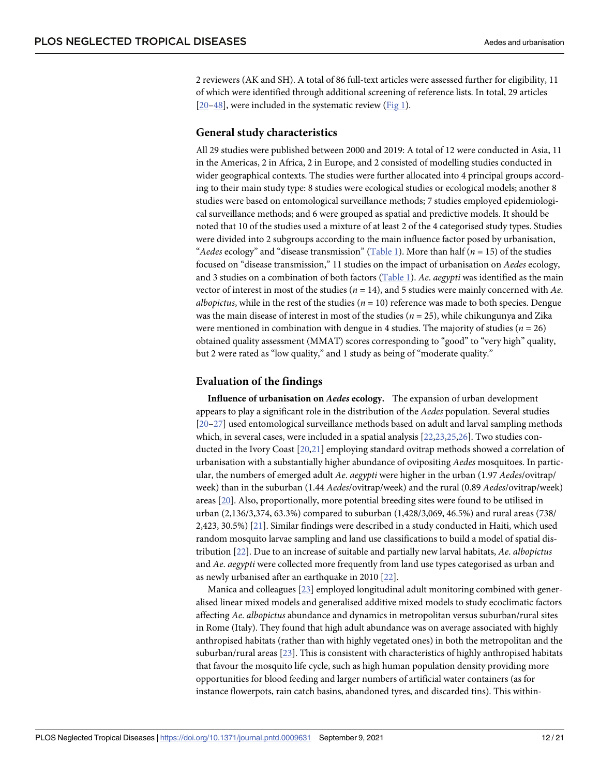<span id="page-11-0"></span>2 reviewers (AK and SH). A total of 86 full-text articles were assessed further for eligibility, 11 of which were identified through additional screening of reference lists. In total, 29 articles [\[20](#page-18-0)[–48\]](#page-19-0), were included in the systematic review [\(Fig](#page-12-0) 1).

#### **General study characteristics**

All 29 studies were published between 2000 and 2019: A total of 12 were conducted in Asia, 11 in the Americas, 2 in Africa, 2 in Europe, and 2 consisted of modelling studies conducted in wider geographical contexts. The studies were further allocated into 4 principal groups according to their main study type: 8 studies were ecological studies or ecological models; another 8 studies were based on entomological surveillance methods; 7 studies employed epidemiological surveillance methods; and 6 were grouped as spatial and predictive models. It should be noted that 10 of the studies used a mixture of at least 2 of the 4 categorised study types. Studies were divided into 2 subgroups according to the main influence factor posed by urbanisation, "*Aedes* ecology" and "disease transmission" ([Table](#page-4-0) 1). More than half ( $n = 15$ ) of the studies focused on "disease transmission," 11 studies on the impact of urbanisation on *Aedes* ecology, and 3 studies on a combination of both factors [\(Table](#page-4-0) 1). *Ae*. *aegypti* was identified as the main vector of interest in most of the studies (*n* = 14), and 5 studies were mainly concerned with *Ae*. *albopictus*, while in the rest of the studies ( $n = 10$ ) reference was made to both species. Dengue was the main disease of interest in most of the studies (*n* = 25), while chikungunya and Zika were mentioned in combination with dengue in 4 studies. The majority of studies ( $n = 26$ ) obtained quality assessment (MMAT) scores corresponding to "good" to "very high" quality, but 2 were rated as "low quality," and 1 study as being of "moderate quality."

#### **Evaluation of the findings**

**Influence of urbanisation on** *Aedes* **ecology.** The expansion of urban development appears to play a significant role in the distribution of the *Aedes* population. Several studies [\[20–27\]](#page-18-0) used entomological surveillance methods based on adult and larval sampling methods which, in several cases, were included in a spatial analysis [[22,23,25,26](#page-18-0)]. Two studies conducted in the Ivory Coast [\[20,21\]](#page-18-0) employing standard ovitrap methods showed a correlation of urbanisation with a substantially higher abundance of ovipositing *Aedes* mosquitoes. In particular, the numbers of emerged adult *Ae*. *aegypti* were higher in the urban (1.97 *Aedes*/ovitrap/ week) than in the suburban (1.44 *Aedes*/ovitrap/week) and the rural (0.89 *Aedes*/ovitrap/week) areas [[20](#page-18-0)]. Also, proportionally, more potential breeding sites were found to be utilised in urban (2,136/3,374, 63.3%) compared to suburban (1,428/3,069, 46.5%) and rural areas (738/ 2,423, 30.5%) [[21](#page-18-0)]. Similar findings were described in a study conducted in Haiti, which used random mosquito larvae sampling and land use classifications to build a model of spatial distribution [[22](#page-18-0)]. Due to an increase of suitable and partially new larval habitats, *Ae*. *albopictus* and *Ae*. *aegypti* were collected more frequently from land use types categorised as urban and as newly urbanised after an earthquake in 2010 [[22](#page-18-0)].

Manica and colleagues [[23](#page-18-0)] employed longitudinal adult monitoring combined with generalised linear mixed models and generalised additive mixed models to study ecoclimatic factors affecting *Ae*. *albopictus* abundance and dynamics in metropolitan versus suburban/rural sites in Rome (Italy). They found that high adult abundance was on average associated with highly anthropised habitats (rather than with highly vegetated ones) in both the metropolitan and the suburban/rural areas [[23](#page-18-0)]. This is consistent with characteristics of highly anthropised habitats that favour the mosquito life cycle, such as high human population density providing more opportunities for blood feeding and larger numbers of artificial water containers (as for instance flowerpots, rain catch basins, abandoned tyres, and discarded tins). This within-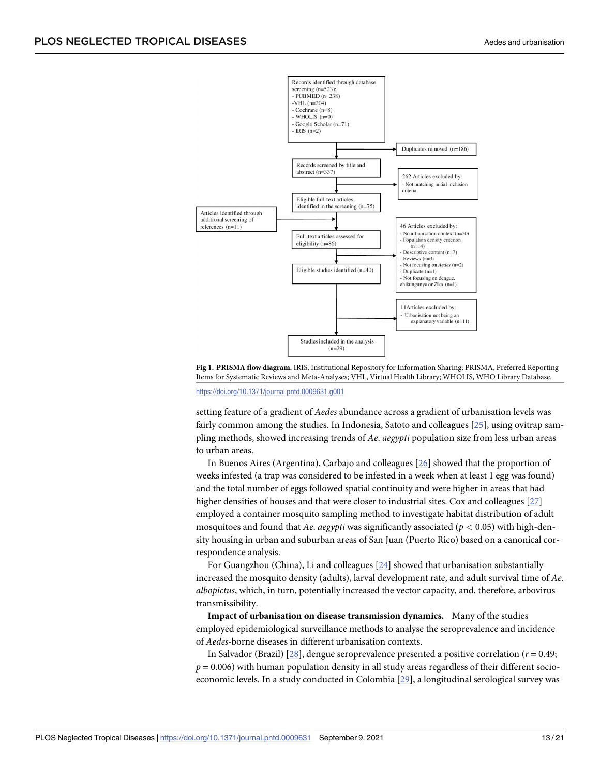<span id="page-12-0"></span>

[Fig](#page-11-0) 1. PRISMA flow diagram. IRIS, Institutional Repository for Information Sharing; PRISMA, Preferred Reporting Items for Systematic Reviews and Meta-Analyses; VHL, Virtual Health Library; WHOLIS, WHO Library Database.

<https://doi.org/10.1371/journal.pntd.0009631.g001>

setting feature of a gradient of *Aedes* abundance across a gradient of urbanisation levels was fairly common among the studies. In Indonesia, Satoto and colleagues [\[25\]](#page-18-0), using ovitrap sampling methods, showed increasing trends of *Ae*. *aegypti* population size from less urban areas to urban areas.

In Buenos Aires (Argentina), Carbajo and colleagues [\[26\]](#page-18-0) showed that the proportion of weeks infested (a trap was considered to be infested in a week when at least 1 egg was found) and the total number of eggs followed spatial continuity and were higher in areas that had higher densities of houses and that were closer to industrial sites. Cox and colleagues [[27](#page-18-0)] employed a container mosquito sampling method to investigate habitat distribution of adult mosquitoes and found that *Ae*. *aegypti* was significantly associated (*p <* 0.05) with high-density housing in urban and suburban areas of San Juan (Puerto Rico) based on a canonical correspondence analysis.

For Guangzhou (China), Li and colleagues [[24](#page-18-0)] showed that urbanisation substantially increased the mosquito density (adults), larval development rate, and adult survival time of *Ae*. *albopictus*, which, in turn, potentially increased the vector capacity, and, therefore, arbovirus transmissibility.

**Impact of urbanisation on disease transmission dynamics.** Many of the studies employed epidemiological surveillance methods to analyse the seroprevalence and incidence of *Aedes-*borne diseases in different urbanisation contexts.

In Salvador (Brazil) [\[28\]](#page-18-0), dengue seroprevalence presented a positive correlation (*r* = 0.49;  $p = 0.006$ ) with human population density in all study areas regardless of their different socioeconomic levels. In a study conducted in Colombia [[29](#page-18-0)], a longitudinal serological survey was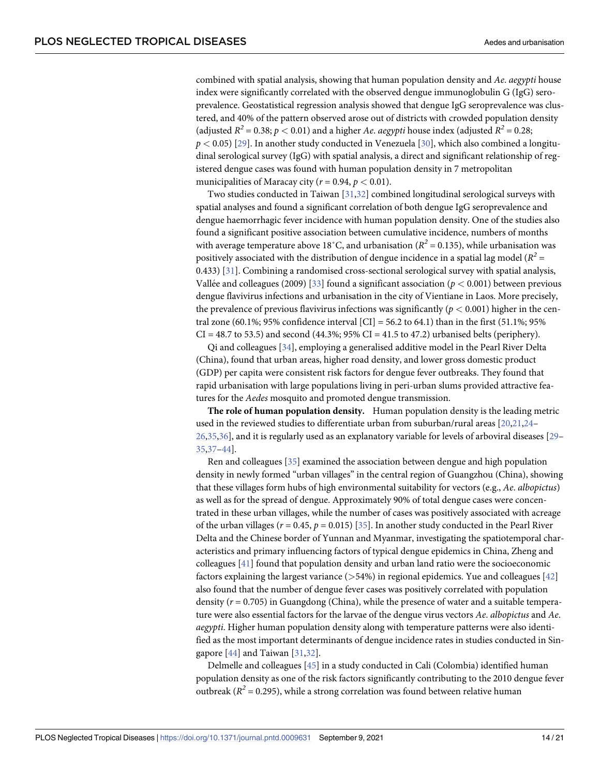combined with spatial analysis, showing that human population density and *Ae*. *aegypti* house index were significantly correlated with the observed dengue immunoglobulin G (IgG) seroprevalence. Geostatistical regression analysis showed that dengue IgG seroprevalence was clustered, and 40% of the pattern observed arose out of districts with crowded population density (adjusted  $R^2 = 0.38$ ;  $p < 0.01$ ) and a higher *Ae. aegypti* house index (adjusted  $R^2 = 0.28$ ;  $p$  < 0.05) [\[29\]](#page-18-0). In another study conducted in Venezuela [[30](#page-18-0)], which also combined a longitudinal serological survey (IgG) with spatial analysis, a direct and significant relationship of registered dengue cases was found with human population density in 7 metropolitan municipalities of Maracay city ( $r = 0.94$ ,  $p < 0.01$ ).

Two studies conducted in Taiwan [\[31,32](#page-18-0)] combined longitudinal serological surveys with spatial analyses and found a significant correlation of both dengue IgG seroprevalence and dengue haemorrhagic fever incidence with human population density. One of the studies also found a significant positive association between cumulative incidence, numbers of months with average temperature above 18<sup>°</sup>C, and urbanisation ( $R^2$  = 0.135), while urbanisation was positively associated with the distribution of dengue incidence in a spatial lag model ( $R^2$  = 0.433) [\[31\]](#page-18-0). Combining a randomised cross-sectional serological survey with spatial analysis, Vallée and colleagues (2009) [\[33\]](#page-18-0) found a significant association ( $p < 0.001$ ) between previous dengue flavivirus infections and urbanisation in the city of Vientiane in Laos. More precisely, the prevalence of previous flavivirus infections was significantly  $(p < 0.001)$  higher in the central zone (60.1%; 95% confidence interval [CI] = 56.2 to 64.1) than in the first (51.1%; 95%  $CI = 48.7$  to 53.5) and second (44.3%; 95%  $CI = 41.5$  to 47.2) urbanised belts (periphery).

Qi and colleagues [[34](#page-18-0)], employing a generalised additive model in the Pearl River Delta (China), found that urban areas, higher road density, and lower gross domestic product (GDP) per capita were consistent risk factors for dengue fever outbreaks. They found that rapid urbanisation with large populations living in peri-urban slums provided attractive features for the *Aedes* mosquito and promoted dengue transmission.

**The role of human population density.** Human population density is the leading metric used in the reviewed studies to differentiate urban from suburban/rural areas [\[20,21,24](#page-18-0)– [26,35](#page-18-0),[36](#page-19-0)], and it is regularly used as an explanatory variable for levels of arboviral diseases [[29](#page-18-0)– [35,](#page-18-0)[37–44\]](#page-19-0).

Ren and colleagues [[35](#page-18-0)] examined the association between dengue and high population density in newly formed "urban villages" in the central region of Guangzhou (China), showing that these villages form hubs of high environmental suitability for vectors (e.g., *Ae*. *albopictus*) as well as for the spread of dengue. Approximately 90% of total dengue cases were concentrated in these urban villages, while the number of cases was positively associated with acreage of the urban villages ( $r = 0.45$ ,  $p = 0.015$ ) [[35](#page-18-0)]. In another study conducted in the Pearl River Delta and the Chinese border of Yunnan and Myanmar, investigating the spatiotemporal characteristics and primary influencing factors of typical dengue epidemics in China, Zheng and colleagues [\[41\]](#page-19-0) found that population density and urban land ratio were the socioeconomic factors explaining the largest variance (*>*54%) in regional epidemics. Yue and colleagues [[42](#page-19-0)] also found that the number of dengue fever cases was positively correlated with population density (*r* = 0.705) in Guangdong (China), while the presence of water and a suitable temperature were also essential factors for the larvae of the dengue virus vectors *Ae*. *albopictus* and *Ae*. *aegypti*. Higher human population density along with temperature patterns were also identified as the most important determinants of dengue incidence rates in studies conducted in Singapore [[44](#page-19-0)] and Taiwan [[31,32\]](#page-18-0).

Delmelle and colleagues [\[45\]](#page-19-0) in a study conducted in Cali (Colombia) identified human population density as one of the risk factors significantly contributing to the 2010 dengue fever outbreak ( $R^2$  = 0.295), while a strong correlation was found between relative human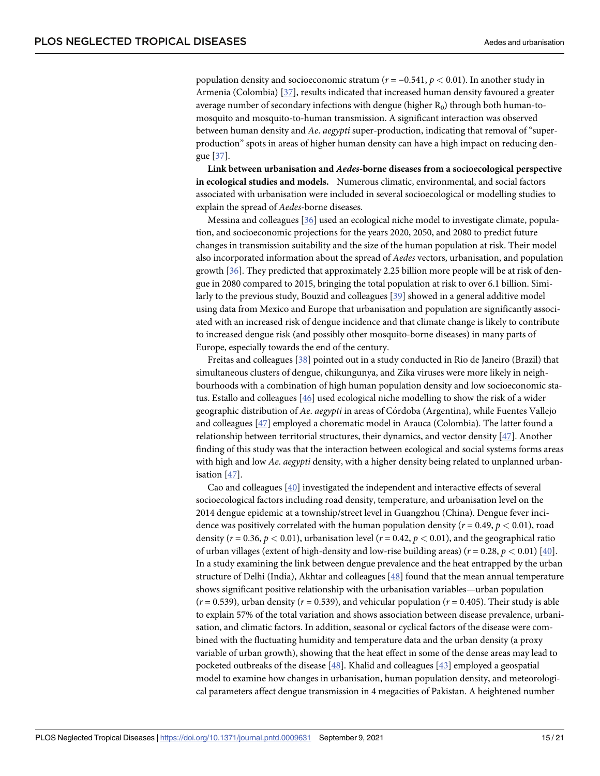population density and socioeconomic stratum (*r* = −0.541, *p <* 0.01). In another study in Armenia (Colombia) [[37](#page-19-0)], results indicated that increased human density favoured a greater average number of secondary infections with dengue (higher  $R_0$ ) through both human-tomosquito and mosquito-to-human transmission. A significant interaction was observed between human density and *Ae*. *aegypti* super-production, indicating that removal of "superproduction" spots in areas of higher human density can have a high impact on reducing dengue [[37](#page-19-0)].

**Link between urbanisation and** *Aedes***-borne diseases from a socioecological perspective in ecological studies and models.** Numerous climatic, environmental, and social factors associated with urbanisation were included in several socioecological or modelling studies to explain the spread of *Aedes-*borne diseases.

Messina and colleagues [[36](#page-19-0)] used an ecological niche model to investigate climate, population, and socioeconomic projections for the years 2020, 2050, and 2080 to predict future changes in transmission suitability and the size of the human population at risk. Their model also incorporated information about the spread of *Aedes* vectors, urbanisation, and population growth [\[36\]](#page-19-0). They predicted that approximately 2.25 billion more people will be at risk of dengue in 2080 compared to 2015, bringing the total population at risk to over 6.1 billion. Similarly to the previous study, Bouzid and colleagues [\[39\]](#page-19-0) showed in a general additive model using data from Mexico and Europe that urbanisation and population are significantly associated with an increased risk of dengue incidence and that climate change is likely to contribute to increased dengue risk (and possibly other mosquito-borne diseases) in many parts of Europe, especially towards the end of the century.

Freitas and colleagues [\[38\]](#page-19-0) pointed out in a study conducted in Rio de Janeiro (Brazil) that simultaneous clusters of dengue, chikungunya, and Zika viruses were more likely in neighbourhoods with a combination of high human population density and low socioeconomic status. Estallo and colleagues [[46](#page-19-0)] used ecological niche modelling to show the risk of a wider geographic distribution of *Ae*. *aegypti* in areas of Co´rdoba (Argentina), while Fuentes Vallejo and colleagues [[47\]](#page-19-0) employed a chorematic model in Arauca (Colombia). The latter found a relationship between territorial structures, their dynamics, and vector density [[47](#page-19-0)]. Another finding of this study was that the interaction between ecological and social systems forms areas with high and low *Ae*. *aegypti* density, with a higher density being related to unplanned urbanisation [\[47\]](#page-19-0).

Cao and colleagues [[40](#page-19-0)] investigated the independent and interactive effects of several socioecological factors including road density, temperature, and urbanisation level on the 2014 dengue epidemic at a township/street level in Guangzhou (China). Dengue fever incidence was positively correlated with the human population density ( $r = 0.49$ ,  $p < 0.01$ ), road density ( $r = 0.36$ ,  $p < 0.01$ ), urbanisation level ( $r = 0.42$ ,  $p < 0.01$ ), and the geographical ratio of urban villages (extent of high-density and low-rise building areas)  $(r = 0.28, p < 0.01)$  [\[40\]](#page-19-0). In a study examining the link between dengue prevalence and the heat entrapped by the urban structure of Delhi (India), Akhtar and colleagues [[48](#page-19-0)] found that the mean annual temperature shows significant positive relationship with the urbanisation variables—urban population  $(r = 0.539)$ , urban density  $(r = 0.539)$ , and vehicular population  $(r = 0.405)$ . Their study is able to explain 57% of the total variation and shows association between disease prevalence, urbanisation, and climatic factors. In addition, seasonal or cyclical factors of the disease were combined with the fluctuating humidity and temperature data and the urban density (a proxy variable of urban growth), showing that the heat effect in some of the dense areas may lead to pocketed outbreaks of the disease [\[48\]](#page-19-0). Khalid and colleagues [\[43\]](#page-19-0) employed a geospatial model to examine how changes in urbanisation, human population density, and meteorological parameters affect dengue transmission in 4 megacities of Pakistan. A heightened number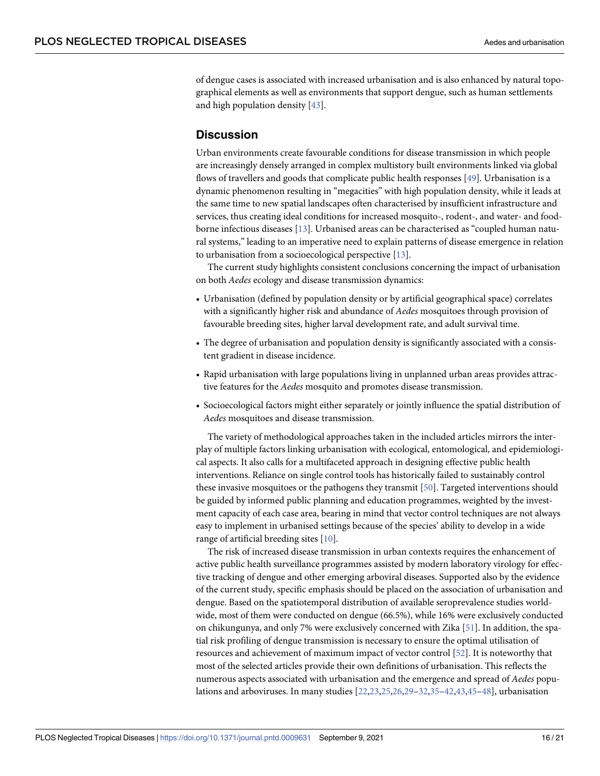<span id="page-15-0"></span>of dengue cases is associated with increased urbanisation and is also enhanced by natural topographical elements as well as environments that support dengue, such as human settlements and high population density [[43](#page-19-0)].

#### **Discussion**

Urban environments create favourable conditions for disease transmission in which people are increasingly densely arranged in complex multistory built environments linked via global flows of travellers and goods that complicate public health responses [[49](#page-19-0)]. Urbanisation is a dynamic phenomenon resulting in "megacities" with high population density, while it leads at the same time to new spatial landscapes often characterised by insufficient infrastructure and services, thus creating ideal conditions for increased mosquito-, rodent-, and water- and foodborne infectious diseases [\[13\]](#page-17-0). Urbanised areas can be characterised as "coupled human natural systems," leading to an imperative need to explain patterns of disease emergence in relation to urbanisation from a socioecological perspective [\[13\]](#page-17-0).

The current study highlights consistent conclusions concerning the impact of urbanisation on both *Aedes* ecology and disease transmission dynamics:

- Urbanisation (defined by population density or by artificial geographical space) correlates with a significantly higher risk and abundance of *Aedes* mosquitoes through provision of favourable breeding sites, higher larval development rate, and adult survival time.
- The degree of urbanisation and population density is significantly associated with a consistent gradient in disease incidence.
- Rapid urbanisation with large populations living in unplanned urban areas provides attractive features for the *Aedes* mosquito and promotes disease transmission.
- Socioecological factors might either separately or jointly influence the spatial distribution of *Aedes* mosquitoes and disease transmission.

The variety of methodological approaches taken in the included articles mirrors the interplay of multiple factors linking urbanisation with ecological, entomological, and epidemiological aspects. It also calls for a multifaceted approach in designing effective public health interventions. Reliance on single control tools has historically failed to sustainably control these invasive mosquitoes or the pathogens they transmit [\[50\]](#page-19-0). Targeted interventions should be guided by informed public planning and education programmes, weighted by the investment capacity of each case area, bearing in mind that vector control techniques are not always easy to implement in urbanised settings because of the species' ability to develop in a wide range of artificial breeding sites [\[10\]](#page-17-0).

The risk of increased disease transmission in urban contexts requires the enhancement of active public health surveillance programmes assisted by modern laboratory virology for effective tracking of dengue and other emerging arboviral diseases. Supported also by the evidence of the current study, specific emphasis should be placed on the association of urbanisation and dengue. Based on the spatiotemporal distribution of available seroprevalence studies worldwide, most of them were conducted on dengue (66.5%), while 16% were exclusively conducted on chikungunya, and only 7% were exclusively concerned with Zika [\[51\]](#page-19-0). In addition, the spatial risk profiling of dengue transmission is necessary to ensure the optimal utilisation of resources and achievement of maximum impact of vector control [\[52\]](#page-19-0). It is noteworthy that most of the selected articles provide their own definitions of urbanisation. This reflects the numerous aspects associated with urbanisation and the emergence and spread of *Aedes* populations and arboviruses. In many studies [[22,23,25,26](#page-18-0),[29–32,35–](#page-18-0)[42](#page-19-0),[43,45–48\]](#page-19-0), urbanisation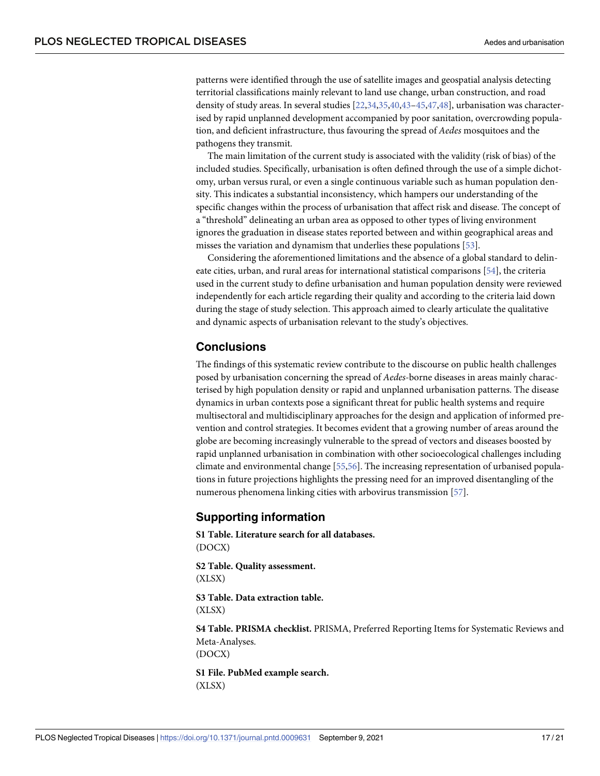<span id="page-16-0"></span>patterns were identified through the use of satellite images and geospatial analysis detecting territorial classifications mainly relevant to land use change, urban construction, and road density of study areas. In several studies [\[22,34](#page-18-0),[35](#page-18-0)[,40,43–45](#page-19-0),[47,48\]](#page-19-0), urbanisation was characterised by rapid unplanned development accompanied by poor sanitation, overcrowding population, and deficient infrastructure, thus favouring the spread of *Aedes* mosquitoes and the pathogens they transmit.

The main limitation of the current study is associated with the validity (risk of bias) of the included studies. Specifically, urbanisation is often defined through the use of a simple dichotomy, urban versus rural, or even a single continuous variable such as human population density. This indicates a substantial inconsistency, which hampers our understanding of the specific changes within the process of urbanisation that affect risk and disease. The concept of a "threshold" delineating an urban area as opposed to other types of living environment ignores the graduation in disease states reported between and within geographical areas and misses the variation and dynamism that underlies these populations [\[53\]](#page-19-0).

Considering the aforementioned limitations and the absence of a global standard to delineate cities, urban, and rural areas for international statistical comparisons [\[54\]](#page-19-0), the criteria used in the current study to define urbanisation and human population density were reviewed independently for each article regarding their quality and according to the criteria laid down during the stage of study selection. This approach aimed to clearly articulate the qualitative and dynamic aspects of urbanisation relevant to the study's objectives.

# **Conclusions**

The findings of this systematic review contribute to the discourse on public health challenges posed by urbanisation concerning the spread of *Aedes*-borne diseases in areas mainly characterised by high population density or rapid and unplanned urbanisation patterns. The disease dynamics in urban contexts pose a significant threat for public health systems and require multisectoral and multidisciplinary approaches for the design and application of informed prevention and control strategies. It becomes evident that a growing number of areas around the globe are becoming increasingly vulnerable to the spread of vectors and diseases boosted by rapid unplanned urbanisation in combination with other socioecological challenges including climate and environmental change [\[55,56](#page-20-0)]. The increasing representation of urbanised populations in future projections highlights the pressing need for an improved disentangling of the numerous phenomena linking cities with arbovirus transmission [\[57\]](#page-20-0).

# **Supporting information**

**S1 [Table.](http://journals.plos.org/plosntds/article/asset?unique&id=info:doi/10.1371/journal.pntd.0009631.s001) Literature search for all databases.** (DOCX)

**S2 [Table.](http://journals.plos.org/plosntds/article/asset?unique&id=info:doi/10.1371/journal.pntd.0009631.s002) Quality assessment.** (XLSX)

**S3 [Table.](http://journals.plos.org/plosntds/article/asset?unique&id=info:doi/10.1371/journal.pntd.0009631.s003) Data extraction table.** (XLSX)

**S4 [Table.](http://journals.plos.org/plosntds/article/asset?unique&id=info:doi/10.1371/journal.pntd.0009631.s004) PRISMA checklist.** PRISMA, Preferred Reporting Items for Systematic Reviews and Meta-Analyses. (DOCX)

**S1 [File.](http://journals.plos.org/plosntds/article/asset?unique&id=info:doi/10.1371/journal.pntd.0009631.s005) PubMed example search.** (XLSX)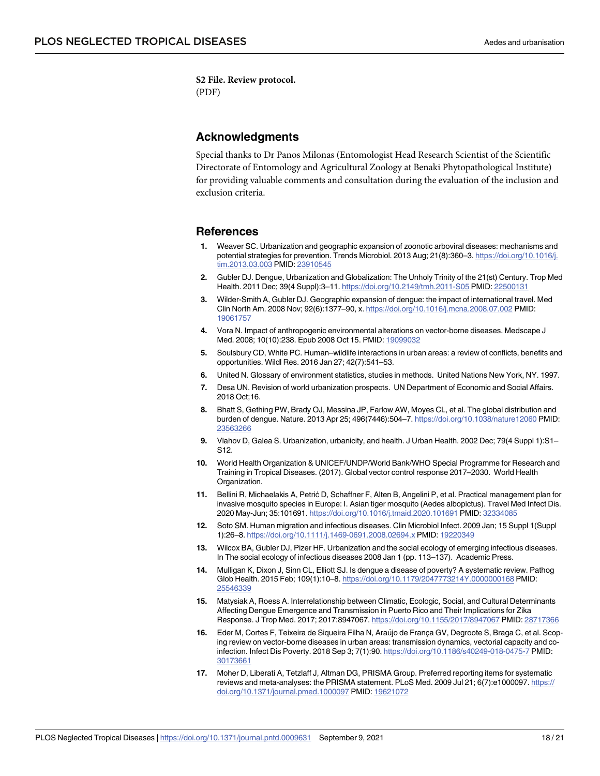<span id="page-17-0"></span>**S2 [File.](http://journals.plos.org/plosntds/article/asset?unique&id=info:doi/10.1371/journal.pntd.0009631.s006) Review protocol.** (PDF)

## **Acknowledgments**

Special thanks to Dr Panos Milonas (Entomologist Head Research Scientist of the Scientific Directorate of Entomology and Agricultural Zoology at Benaki Phytopathological Institute) for providing valuable comments and consultation during the evaluation of the inclusion and exclusion criteria.

#### **References**

- **[1](#page-1-0).** Weaver SC. Urbanization and geographic expansion of zoonotic arboviral diseases: mechanisms and potential strategies for prevention. Trends Microbiol. 2013 Aug; 21(8):360–3. [https://doi.org/10.1016/j.](https://doi.org/10.1016/j.tim.2013.03.003) [tim.2013.03.003](https://doi.org/10.1016/j.tim.2013.03.003) PMID: [23910545](http://www.ncbi.nlm.nih.gov/pubmed/23910545)
- **[2](#page-2-0).** Gubler DJ. Dengue, Urbanization and Globalization: The Unholy Trinity of the 21(st) Century. Trop Med Health. 2011 Dec; 39(4 Suppl):3–11. <https://doi.org/10.2149/tmh.2011-S05> PMID: [22500131](http://www.ncbi.nlm.nih.gov/pubmed/22500131)
- **[3](#page-1-0).** Wilder-Smith A, Gubler DJ. Geographic expansion of dengue: the impact of international travel. Med Clin North Am. 2008 Nov; 92(6):1377–90, x. <https://doi.org/10.1016/j.mcna.2008.07.002> PMID: [19061757](http://www.ncbi.nlm.nih.gov/pubmed/19061757)
- **[4](#page-1-0).** Vora N. Impact of anthropogenic environmental alterations on vector-borne diseases. Medscape J Med. 2008; 10(10):238. Epub 2008 Oct 15. PMID: [19099032](http://www.ncbi.nlm.nih.gov/pubmed/19099032)
- **[5](#page-1-0).** Soulsbury CD, White PC. Human–wildlife interactions in urban areas: a review of conflicts, benefits and opportunities. Wildl Res. 2016 Jan 27; 42(7):541–53.
- **[6](#page-1-0).** United N. Glossary of environment statistics, studies in methods. United Nations New York, NY. 1997.
- **[7](#page-1-0).** Desa UN. Revision of world urbanization prospects. UN Department of Economic and Social Affairs. 2018 Oct;16.
- **[8](#page-2-0).** Bhatt S, Gething PW, Brady OJ, Messina JP, Farlow AW, Moyes CL, et al. The global distribution and burden of dengue. Nature. 2013 Apr 25; 496(7446):504–7. <https://doi.org/10.1038/nature12060> PMID: [23563266](http://www.ncbi.nlm.nih.gov/pubmed/23563266)
- **[9](#page-1-0).** Vlahov D, Galea S. Urbanization, urbanicity, and health. J Urban Health. 2002 Dec; 79(4 Suppl 1):S1– S12.
- **[10](#page-1-0).** World Health Organization & UNICEF/UNDP/World Bank/WHO Special Programme for Research and Training in Tropical Diseases. (2017). Global vector control response 2017–2030. World Health Organization.
- **[11](#page-2-0).** Bellini R, Michaelakis A, Petrić D, Schaffner F, Alten B, Angelini P, et al. Practical management plan for invasive mosquito species in Europe: I. Asian tiger mosquito (Aedes albopictus). Travel Med Infect Dis. 2020 May-Jun; 35:101691. <https://doi.org/10.1016/j.tmaid.2020.101691> PMID: [32334085](http://www.ncbi.nlm.nih.gov/pubmed/32334085)
- **[12](#page-2-0).** Soto SM. Human migration and infectious diseases. Clin Microbiol Infect. 2009 Jan; 15 Suppl 1(Suppl 1):26–8. <https://doi.org/10.1111/j.1469-0691.2008.02694.x> PMID: [19220349](http://www.ncbi.nlm.nih.gov/pubmed/19220349)
- **[13](#page-2-0).** Wilcox BA, Gubler DJ, Pizer HF. Urbanization and the social ecology of emerging infectious diseases. In The social ecology of infectious diseases 2008 Jan 1 (pp. 113–137). Academic Press.
- **[14](#page-2-0).** Mulligan K, Dixon J, Sinn CL, Elliott SJ. Is dengue a disease of poverty? A systematic review. Pathog Glob Health. 2015 Feb; 109(1):10–8. <https://doi.org/10.1179/2047773214Y.0000000168> PMID: [25546339](http://www.ncbi.nlm.nih.gov/pubmed/25546339)
- **15.** Matysiak A, Roess A. Interrelationship between Climatic, Ecologic, Social, and Cultural Determinants Affecting Dengue Emergence and Transmission in Puerto Rico and Their Implications for Zika Response. J Trop Med. 2017; 2017:8947067. <https://doi.org/10.1155/2017/8947067> PMID: [28717366](http://www.ncbi.nlm.nih.gov/pubmed/28717366)
- **[16](#page-2-0).** Eder M, Cortes F, Teixeira de Siqueira Filha N, Araújo de França GV, Degroote S, Braga C, et al. Scoping review on vector-borne diseases in urban areas: transmission dynamics, vectorial capacity and coinfection. Infect Dis Poverty. 2018 Sep 3; 7(1):90. <https://doi.org/10.1186/s40249-018-0475-7> PMID: [30173661](http://www.ncbi.nlm.nih.gov/pubmed/30173661)
- **[17](#page-2-0).** Moher D, Liberati A, Tetzlaff J, Altman DG, PRISMA Group. Preferred reporting items for systematic reviews and meta-analyses: the PRISMA statement. PLoS Med. 2009 Jul 21; 6(7):e1000097. [https://](https://doi.org/10.1371/journal.pmed.1000097) [doi.org/10.1371/journal.pmed.1000097](https://doi.org/10.1371/journal.pmed.1000097) PMID: [19621072](http://www.ncbi.nlm.nih.gov/pubmed/19621072)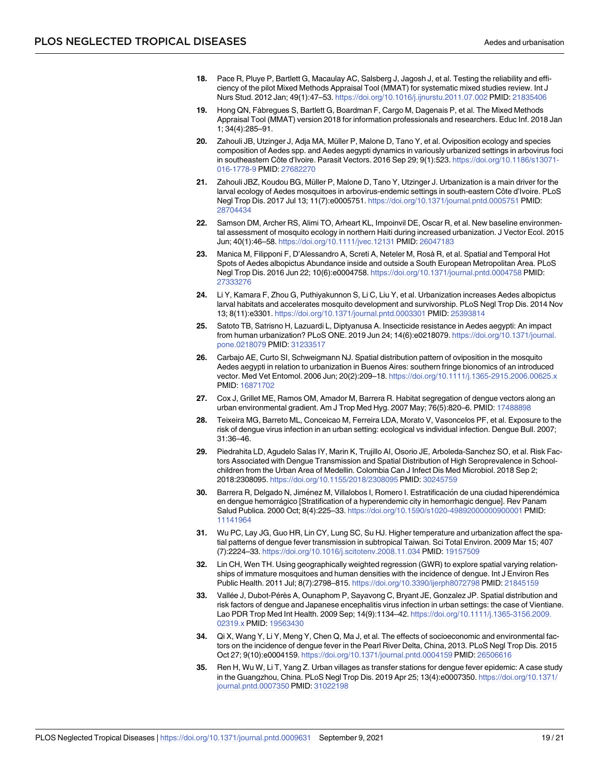- <span id="page-18-0"></span>**[18](#page-3-0).** Pace R, Pluye P, Bartlett G, Macaulay AC, Salsberg J, Jagosh J, et al. Testing the reliability and efficiency of the pilot Mixed Methods Appraisal Tool (MMAT) for systematic mixed studies review. Int J Nurs Stud. 2012 Jan; 49(1):47–53. <https://doi.org/10.1016/j.ijnurstu.2011.07.002> PMID: [21835406](http://www.ncbi.nlm.nih.gov/pubmed/21835406)
- **[19](#page-3-0).** Hong QN, Fàbregues S, Bartlett G, Boardman F, Cargo M, Dagenais P, et al. The Mixed Methods Appraisal Tool (MMAT) version 2018 for information professionals and researchers. Educ Inf. 2018 Jan 1; 34(4):285–91.
- **[20](#page-4-0).** Zahouli JB, Utzinger J, Adja MA, Müller P, Malone D, Tano Y, et al. Oviposition ecology and species composition of Aedes spp. and Aedes aegypti dynamics in variously urbanized settings in arbovirus foci in southeastern Côte d'Ivoire. Parasit Vectors. 2016 Sep 29; 9(1):523. [https://doi.org/10.1186/s13071-](https://doi.org/10.1186/s13071-016-1778-9) [016-1778-9](https://doi.org/10.1186/s13071-016-1778-9) PMID: [27682270](http://www.ncbi.nlm.nih.gov/pubmed/27682270)
- **[21](#page-5-0).** Zahouli JBZ, Koudou BG, Müller P, Malone D, Tano Y, Utzinger J. Urbanization is a main driver for the larval ecology of Aedes mosquitoes in arbovirus-endemic settings in south-eastern Côte d'Ivoire. PLoS Negl Trop Dis. 2017 Jul 13; 11(7):e0005751. <https://doi.org/10.1371/journal.pntd.0005751> PMID: [28704434](http://www.ncbi.nlm.nih.gov/pubmed/28704434)
- **[22](#page-5-0).** Samson DM, Archer RS, Alimi TO, Arheart KL, Impoinvil DE, Oscar R, et al. New baseline environmental assessment of mosquito ecology in northern Haiti during increased urbanization. J Vector Ecol. 2015 Jun; 40(1):46–58. <https://doi.org/10.1111/jvec.12131> PMID: [26047183](http://www.ncbi.nlm.nih.gov/pubmed/26047183)
- **[23](#page-5-0).** Manica M, Filipponi F, D'Alessandro A, Screti A, Neteler M, Rosà R, et al. Spatial and Temporal Hot Spots of Aedes albopictus Abundance inside and outside a South European Metropolitan Area. PLoS Negl Trop Dis. 2016 Jun 22; 10(6):e0004758. <https://doi.org/10.1371/journal.pntd.0004758> PMID: [27333276](http://www.ncbi.nlm.nih.gov/pubmed/27333276)
- **[24](#page-5-0).** Li Y, Kamara F, Zhou G, Puthiyakunnon S, Li C, Liu Y, et al. Urbanization increases Aedes albopictus larval habitats and accelerates mosquito development and survivorship. PLoS Negl Trop Dis. 2014 Nov 13; 8(11):e3301. <https://doi.org/10.1371/journal.pntd.0003301> PMID: [25393814](http://www.ncbi.nlm.nih.gov/pubmed/25393814)
- **[25](#page-4-0).** Satoto TB, Satrisno H, Lazuardi L, Diptyanusa A. Insecticide resistance in Aedes aegypti: An impact from human urbanization? PLoS ONE. 2019 Jun 24; 14(6):e0218079. [https://doi.org/10.1371/journal.](https://doi.org/10.1371/journal.pone.0218079) [pone.0218079](https://doi.org/10.1371/journal.pone.0218079) PMID: [31233517](http://www.ncbi.nlm.nih.gov/pubmed/31233517)
- **[26](#page-6-0).** Carbajo AE, Curto SI, Schweigmann NJ. Spatial distribution pattern of oviposition in the mosquito Aedes aegypti in relation to urbanization in Buenos Aires: southern fringe bionomics of an introduced vector. Med Vet Entomol. 2006 Jun; 20(2):209–18. <https://doi.org/10.1111/j.1365-2915.2006.00625.x> PMID: [16871702](http://www.ncbi.nlm.nih.gov/pubmed/16871702)
- **[27](#page-5-0).** Cox J, Grillet ME, Ramos OM, Amador M, Barrera R. Habitat segregation of dengue vectors along an urban environmental gradient. Am J Trop Med Hyg. 2007 May; 76(5):820–6. PMID: [17488898](http://www.ncbi.nlm.nih.gov/pubmed/17488898)
- **[28](#page-8-0).** Teixeira MG, Barreto ML, Conceicao M, Ferreira LDA, Morato V, Vasoncelos PF, et al. Exposure to the risk of dengue virus infection in an urban setting: ecological vs individual infection. Dengue Bull. 2007; 31:36–46.
- **[29](#page-6-0).** Piedrahita LD, Agudelo Salas IY, Marin K, Trujillo AI, Osorio JE, Arboleda-Sanchez SO, et al. Risk Factors Associated with Dengue Transmission and Spatial Distribution of High Seroprevalence in Schoolchildren from the Urban Area of Medellin. Colombia Can J Infect Dis Med Microbiol. 2018 Sep 2; 2018:2308095. <https://doi.org/10.1155/2018/2308095> PMID: [30245759](http://www.ncbi.nlm.nih.gov/pubmed/30245759)
- **[30](#page-8-0).** Barrera R, Delgado N, Jiménez M, Villalobos I, Romero I. Estratificación de una ciudad hiperendémica en dengue hemorra´gico [Stratification of a hyperendemic city in hemorrhagic dengue]. Rev Panam Salud Publica. 2000 Oct; 8(4):225–33. <https://doi.org/10.1590/s1020-49892000000900001> PMID: [11141964](http://www.ncbi.nlm.nih.gov/pubmed/11141964)
- **[31](#page-9-0).** Wu PC, Lay JG, Guo HR, Lin CY, Lung SC, Su HJ. Higher temperature and urbanization affect the spatial patterns of dengue fever transmission in subtropical Taiwan. Sci Total Environ. 2009 Mar 15; 407 (7):2224–33. <https://doi.org/10.1016/j.scitotenv.2008.11.034> PMID: [19157509](http://www.ncbi.nlm.nih.gov/pubmed/19157509)
- **[32](#page-9-0).** Lin CH, Wen TH. Using geographically weighted regression (GWR) to explore spatial varying relationships of immature mosquitoes and human densities with the incidence of dengue. Int J Environ Res Public Health. 2011 Jul; 8(7):2798–815. <https://doi.org/10.3390/ijerph8072798> PMID: [21845159](http://www.ncbi.nlm.nih.gov/pubmed/21845159)
- **[33](#page-9-0).** Vallée J, Dubot-Pérès A, Ounaphom P, Sayavong C, Bryant JE, Gonzalez JP. Spatial distribution and risk factors of dengue and Japanese encephalitis virus infection in urban settings: the case of Vientiane. Lao PDR Trop Med Int Health. 2009 Sep; 14(9):1134–42. [https://doi.org/10.1111/j.1365-3156.2009.](https://doi.org/10.1111/j.1365-3156.2009.02319.x) [02319.x](https://doi.org/10.1111/j.1365-3156.2009.02319.x) PMID: [19563430](http://www.ncbi.nlm.nih.gov/pubmed/19563430)
- **[34](#page-8-0).** Qi X, Wang Y, Li Y, Meng Y, Chen Q, Ma J, et al. The effects of socioeconomic and environmental factors on the incidence of dengue fever in the Pearl River Delta, China, 2013. PLoS Negl Trop Dis. 2015 Oct 27; 9(10):e0004159. <https://doi.org/10.1371/journal.pntd.0004159> PMID: [26506616](http://www.ncbi.nlm.nih.gov/pubmed/26506616)
- **[35](#page-6-0).** Ren H, Wu W, Li T, Yang Z. Urban villages as transfer stations for dengue fever epidemic: A case study in the Guangzhou, China. PLoS Negl Trop Dis. 2019 Apr 25; 13(4):e0007350. [https://doi.org/10.1371/](https://doi.org/10.1371/journal.pntd.0007350) [journal.pntd.0007350](https://doi.org/10.1371/journal.pntd.0007350) PMID: [31022198](http://www.ncbi.nlm.nih.gov/pubmed/31022198)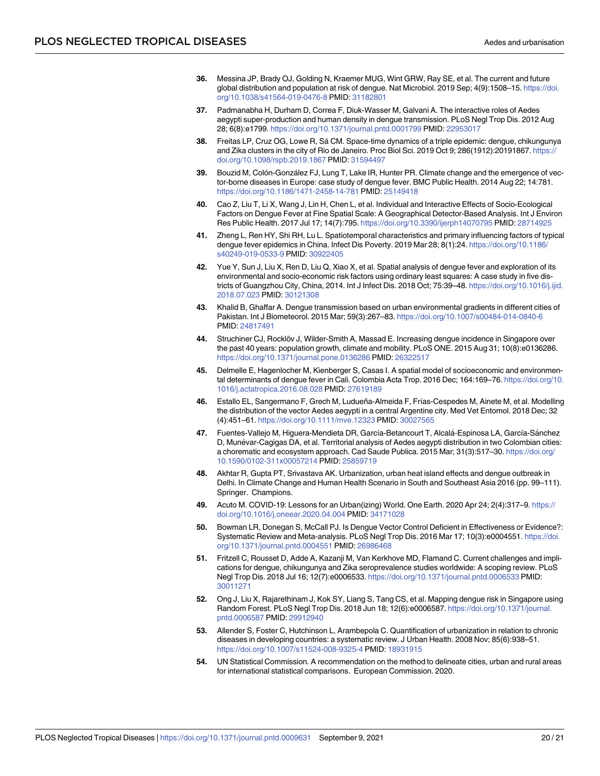- <span id="page-19-0"></span>**[36](#page-6-0).** Messina JP, Brady OJ, Golding N, Kraemer MUG, Wint GRW, Ray SE, et al. The current and future global distribution and population at risk of dengue. Nat Microbiol. 2019 Sep; 4(9):1508–15. [https://doi.](https://doi.org/10.1038/s41564-019-0476-8) [org/10.1038/s41564-019-0476-8](https://doi.org/10.1038/s41564-019-0476-8) PMID: [31182801](http://www.ncbi.nlm.nih.gov/pubmed/31182801)
- **[37](#page-7-0).** Padmanabha H, Durham D, Correa F, Diuk-Wasser M, Galvani A. The interactive roles of Aedes aegypti super-production and human density in dengue transmission. PLoS Negl Trop Dis. 2012 Aug 28; 6(8):e1799. <https://doi.org/10.1371/journal.pntd.0001799> PMID: [22953017](http://www.ncbi.nlm.nih.gov/pubmed/22953017)
- **[38](#page-7-0).** Freitas LP, Cruz OG, Lowe R, Sa´ CM. Space-time dynamics of a triple epidemic: dengue, chikungunya and Zika clusters in the city of Rio de Janeiro. Proc Biol Sci. 2019 Oct 9; 286(1912):20191867. [https://](https://doi.org/10.1098/rspb.2019.1867) [doi.org/10.1098/rspb.2019.1867](https://doi.org/10.1098/rspb.2019.1867) PMID: [31594497](http://www.ncbi.nlm.nih.gov/pubmed/31594497)
- **[39](#page-7-0).** Bouzid M, Colón-González FJ, Lung T, Lake IR, Hunter PR. Climate change and the emergence of vector-borne diseases in Europe: case study of dengue fever. BMC Public Health. 2014 Aug 22; 14:781. <https://doi.org/10.1186/1471-2458-14-781> PMID: [25149418](http://www.ncbi.nlm.nih.gov/pubmed/25149418)
- **[40](#page-7-0).** Cao Z, Liu T, Li X, Wang J, Lin H, Chen L, et al. Individual and Interactive Effects of Socio-Ecological Factors on Dengue Fever at Fine Spatial Scale: A Geographical Detector-Based Analysis. Int J Environ Res Public Health. 2017 Jul 17; 14(7):795. <https://doi.org/10.3390/ijerph14070795> PMID: [28714925](http://www.ncbi.nlm.nih.gov/pubmed/28714925)
- **[41](#page-9-0).** Zheng L, Ren HY, Shi RH, Lu L. Spatiotemporal characteristics and primary influencing factors of typical dengue fever epidemics in China. Infect Dis Poverty. 2019 Mar 28; 8(1):24. [https://doi.org/10.1186/](https://doi.org/10.1186/s40249-019-0533-9) [s40249-019-0533-9](https://doi.org/10.1186/s40249-019-0533-9) PMID: [30922405](http://www.ncbi.nlm.nih.gov/pubmed/30922405)
- **[42](#page-10-0).** Yue Y, Sun J, Liu X, Ren D, Liu Q, Xiao X, et al. Spatial analysis of dengue fever and exploration of its environmental and socio-economic risk factors using ordinary least squares: A case study in five districts of Guangzhou City, China, 2014. Int J Infect Dis. 2018 Oct; 75:39–48. [https://doi.org/10.1016/j.ijid.](https://doi.org/10.1016/j.ijid.2018.07.023) [2018.07.023](https://doi.org/10.1016/j.ijid.2018.07.023) PMID: [30121308](http://www.ncbi.nlm.nih.gov/pubmed/30121308)
- **[43](#page-10-0).** Khalid B, Ghaffar A. Dengue transmission based on urban environmental gradients in different cities of Pakistan. Int J Biometeorol. 2015 Mar; 59(3):267–83. <https://doi.org/10.1007/s00484-014-0840-6> PMID: [24817491](http://www.ncbi.nlm.nih.gov/pubmed/24817491)
- **[44](#page-9-0).** Struchiner CJ, Rocklöv J, Wilder-Smith A, Massad E. Increasing dengue incidence in Singapore over the past 40 years: population growth, climate and mobility. PLoS ONE. 2015 Aug 31; 10(8):e0136286. <https://doi.org/10.1371/journal.pone.0136286> PMID: [26322517](http://www.ncbi.nlm.nih.gov/pubmed/26322517)
- **[45](#page-7-0).** Delmelle E, Hagenlocher M, Kienberger S, Casas I. A spatial model of socioeconomic and environmental determinants of dengue fever in Cali. Colombia Acta Trop. 2016 Dec; 164:169–76. [https://doi.org/10.](https://doi.org/10.1016/j.actatropica.2016.08.028) [1016/j.actatropica.2016.08.028](https://doi.org/10.1016/j.actatropica.2016.08.028) PMID: [27619189](http://www.ncbi.nlm.nih.gov/pubmed/27619189)
- **[46](#page-4-0).** Estallo EL, Sangermano F, Grech M, Ludueña-Almeida F, Frı´as-Cespedes M, Ainete M, et al. Modelling the distribution of the vector Aedes aegypti in a central Argentine city. Med Vet Entomol. 2018 Dec; 32 (4):451–61. <https://doi.org/10.1111/mve.12323> PMID: [30027565](http://www.ncbi.nlm.nih.gov/pubmed/30027565)
- **[47](#page-4-0).** Fuentes-Vallejo M, Higuera-Mendieta DR, García-Betancourt T, Alcalá-Espinosa LA, García-Sánchez D, Munévar-Cagigas DA, et al. Territorial analysis of Aedes aegypti distribution in two Colombian cities: a chorematic and ecosystem approach. Cad Saude Publica. 2015 Mar; 31(3):517–30. [https://doi.org/](https://doi.org/10.1590/0102-311x00057214) [10.1590/0102-311x00057214](https://doi.org/10.1590/0102-311x00057214) PMID: [25859719](http://www.ncbi.nlm.nih.gov/pubmed/25859719)
- **[48](#page-8-0).** Akhtar R, Gupta PT, Srivastava AK. Urbanization, urban heat island effects and dengue outbreak in Delhi. In Climate Change and Human Health Scenario in South and Southeast Asia 2016 (pp. 99–111). Springer. Champions.
- **[49](#page-15-0).** Acuto M. COVID-19: Lessons for an Urban(izing) World. One Earth. 2020 Apr 24; 2(4):317–9. [https://](https://doi.org/10.1016/j.oneear.2020.04.004) [doi.org/10.1016/j.oneear.2020.04.004](https://doi.org/10.1016/j.oneear.2020.04.004) PMID: [34171028](http://www.ncbi.nlm.nih.gov/pubmed/34171028)
- **[50](#page-15-0).** Bowman LR, Donegan S, McCall PJ. Is Dengue Vector Control Deficient in Effectiveness or Evidence?: Systematic Review and Meta-analysis. PLoS Negl Trop Dis. 2016 Mar 17; 10(3):e0004551. [https://doi.](https://doi.org/10.1371/journal.pntd.0004551) [org/10.1371/journal.pntd.0004551](https://doi.org/10.1371/journal.pntd.0004551) PMID: [26986468](http://www.ncbi.nlm.nih.gov/pubmed/26986468)
- **[51](#page-15-0).** Fritzell C, Rousset D, Adde A, Kazanji M, Van Kerkhove MD, Flamand C. Current challenges and implications for dengue, chikungunya and Zika seroprevalence studies worldwide: A scoping review. PLoS Negl Trop Dis. 2018 Jul 16; 12(7):e0006533. <https://doi.org/10.1371/journal.pntd.0006533> PMID: [30011271](http://www.ncbi.nlm.nih.gov/pubmed/30011271)
- **[52](#page-15-0).** Ong J, Liu X, Rajarethinam J, Kok SY, Liang S, Tang CS, et al. Mapping dengue risk in Singapore using Random Forest. PLoS Negl Trop Dis. 2018 Jun 18; 12(6):e0006587. [https://doi.org/10.1371/journal.](https://doi.org/10.1371/journal.pntd.0006587) [pntd.0006587](https://doi.org/10.1371/journal.pntd.0006587) PMID: [29912940](http://www.ncbi.nlm.nih.gov/pubmed/29912940)
- **[53](#page-16-0).** Allender S, Foster C, Hutchinson L, Arambepola C. Quantification of urbanization in relation to chronic diseases in developing countries: a systematic review. J Urban Health. 2008 Nov; 85(6):938–51. <https://doi.org/10.1007/s11524-008-9325-4> PMID: [18931915](http://www.ncbi.nlm.nih.gov/pubmed/18931915)
- **[54](#page-16-0).** UN Statistical Commission. A recommendation on the method to delineate cities, urban and rural areas for international statistical comparisons. European Commission. 2020.